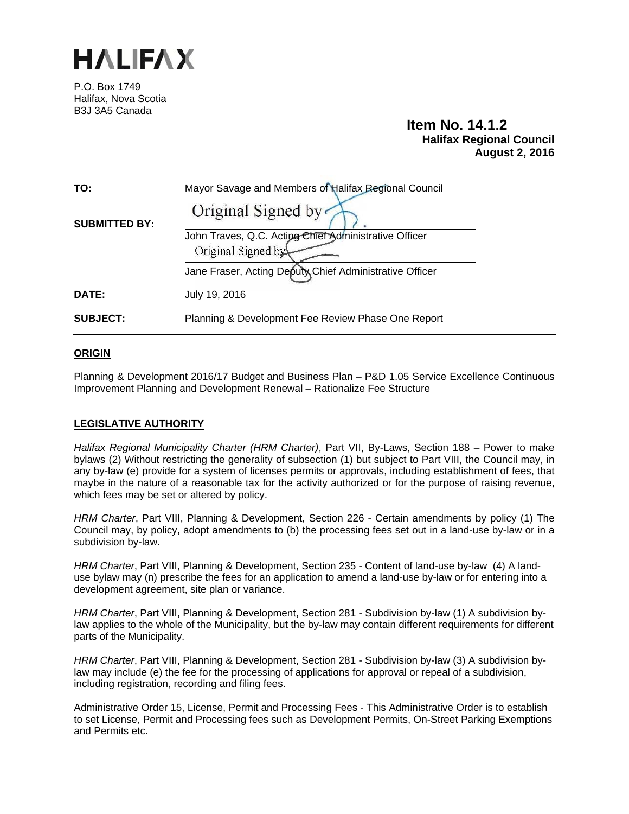

P.O. Box 1749 Halifax, Nova Scotia B3J 3A5 Canada

# **Item No. 14.1.2 Halifax Regional Council August 2, 2016**

| TO:                  | Mayor Savage and Members of Halifax Regional Council    |
|----------------------|---------------------------------------------------------|
| <b>SUBMITTED BY:</b> | Original Signed by                                      |
|                      | John Traves, Q.C. Acting Chief Administrative Officer   |
|                      | Original Signed by                                      |
|                      | Jane Fraser, Acting Deputy Chief Administrative Officer |
| DATE:                | July 19, 2016                                           |
| <b>SUBJECT:</b>      | Planning & Development Fee Review Phase One Report      |

#### **ORIGIN**

Planning & Development 2016/17 Budget and Business Plan – P&D 1.05 Service Excellence Continuous Improvement Planning and Development Renewal – Rationalize Fee Structure

#### **LEGISLATIVE AUTHORITY**

*Halifax Regional Municipality Charter (HRM Charter)*, Part VII, By-Laws, Section 188 – Power to make bylaws (2) Without restricting the generality of subsection (1) but subject to Part VIII, the Council may, in any by-law (e) provide for a system of licenses permits or approvals, including establishment of fees, that maybe in the nature of a reasonable tax for the activity authorized or for the purpose of raising revenue, which fees may be set or altered by policy.

*HRM Charter*, Part VIII, Planning & Development, Section 226 - Certain amendments by policy (1) The Council may, by policy, adopt amendments to (b) the processing fees set out in a land-use by-law or in a subdivision by-law.

*HRM Charter*, Part VIII, Planning & Development, Section 235 - Content of land-use by-law (4) A landuse bylaw may (n) prescribe the fees for an application to amend a land-use by-law or for entering into a development agreement, site plan or variance.

*HRM Charter*, Part VIII, Planning & Development, Section 281 - Subdivision by-law (1) A subdivision bylaw applies to the whole of the Municipality, but the by-law may contain different requirements for different parts of the Municipality.

*HRM Charter*, Part VIII, Planning & Development, Section 281 - Subdivision by-law (3) A subdivision bylaw may include (e) the fee for the processing of applications for approval or repeal of a subdivision, including registration, recording and filing fees.

Administrative Order 15, License, Permit and Processing Fees - This Administrative Order is to establish to set License, Permit and Processing fees such as Development Permits, On-Street Parking Exemptions and Permits etc.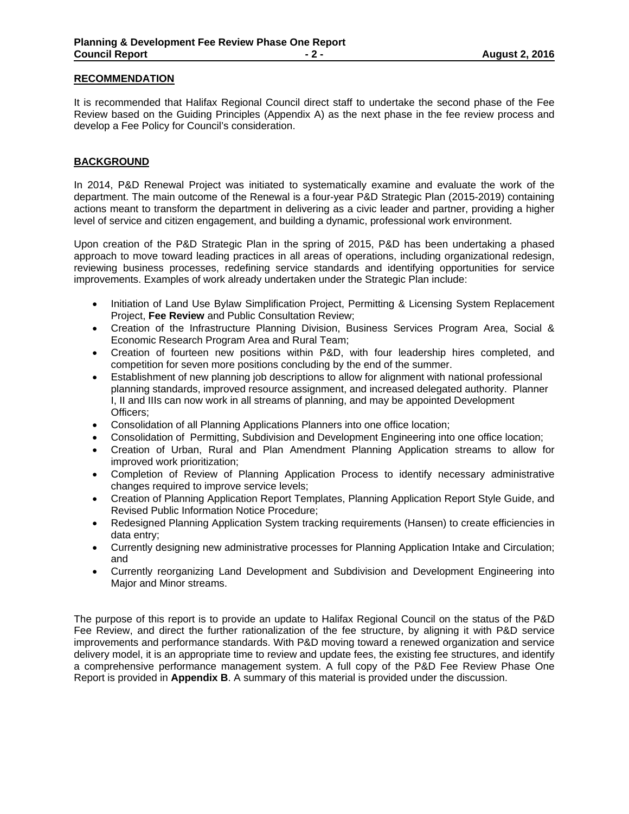#### **RECOMMENDATION**

It is recommended that Halifax Regional Council direct staff to undertake the second phase of the Fee Review based on the Guiding Principles (Appendix A) as the next phase in the fee review process and develop a Fee Policy for Council's consideration.

#### **BACKGROUND**

In 2014, P&D Renewal Project was initiated to systematically examine and evaluate the work of the department. The main outcome of the Renewal is a four-year P&D Strategic Plan (2015-2019) containing actions meant to transform the department in delivering as a civic leader and partner, providing a higher level of service and citizen engagement, and building a dynamic, professional work environment.

Upon creation of the P&D Strategic Plan in the spring of 2015, P&D has been undertaking a phased approach to move toward leading practices in all areas of operations, including organizational redesign, reviewing business processes, redefining service standards and identifying opportunities for service improvements. Examples of work already undertaken under the Strategic Plan include:

- Initiation of Land Use Bylaw Simplification Project, Permitting & Licensing System Replacement Project, **Fee Review** and Public Consultation Review;
- Creation of the Infrastructure Planning Division, Business Services Program Area, Social & Economic Research Program Area and Rural Team;
- Creation of fourteen new positions within P&D, with four leadership hires completed, and competition for seven more positions concluding by the end of the summer.
- Establishment of new planning job descriptions to allow for alignment with national professional planning standards, improved resource assignment, and increased delegated authority. Planner I, II and IIIs can now work in all streams of planning, and may be appointed Development Officers;
- Consolidation of all Planning Applications Planners into one office location;
- Consolidation of Permitting, Subdivision and Development Engineering into one office location;
- Creation of Urban, Rural and Plan Amendment Planning Application streams to allow for improved work prioritization;
- Completion of Review of Planning Application Process to identify necessary administrative changes required to improve service levels;
- Creation of Planning Application Report Templates, Planning Application Report Style Guide, and Revised Public Information Notice Procedure;
- Redesigned Planning Application System tracking requirements (Hansen) to create efficiencies in data entry;
- Currently designing new administrative processes for Planning Application Intake and Circulation; and
- Currently reorganizing Land Development and Subdivision and Development Engineering into Major and Minor streams.

The purpose of this report is to provide an update to Halifax Regional Council on the status of the P&D Fee Review, and direct the further rationalization of the fee structure, by aligning it with P&D service improvements and performance standards. With P&D moving toward a renewed organization and service delivery model, it is an appropriate time to review and update fees, the existing fee structures, and identify a comprehensive performance management system. A full copy of the P&D Fee Review Phase One Report is provided in **Appendix B**. A summary of this material is provided under the discussion.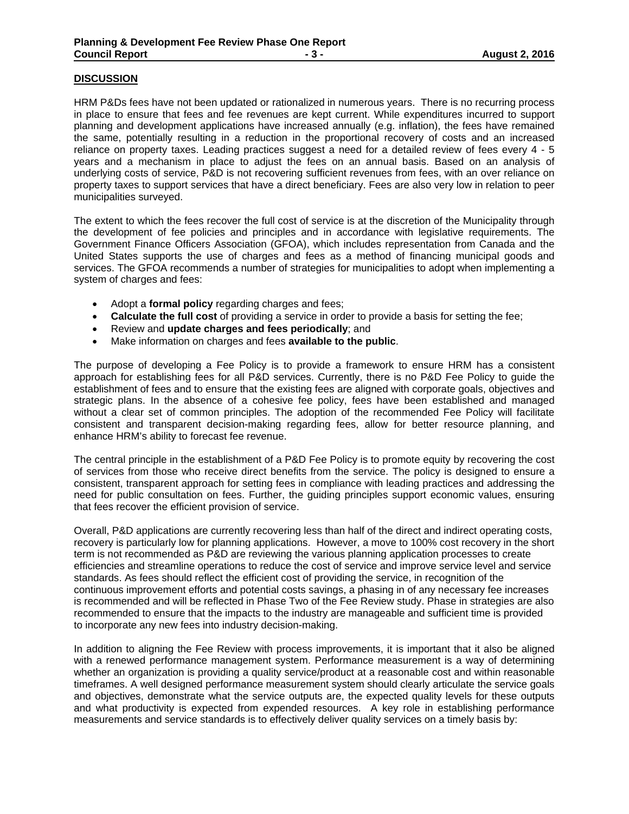#### **DISCUSSION**

HRM P&Ds fees have not been updated or rationalized in numerous years. There is no recurring process in place to ensure that fees and fee revenues are kept current. While expenditures incurred to support planning and development applications have increased annually (e.g. inflation), the fees have remained the same, potentially resulting in a reduction in the proportional recovery of costs and an increased reliance on property taxes. Leading practices suggest a need for a detailed review of fees every 4 - 5 years and a mechanism in place to adjust the fees on an annual basis. Based on an analysis of underlying costs of service, P&D is not recovering sufficient revenues from fees, with an over reliance on property taxes to support services that have a direct beneficiary. Fees are also very low in relation to peer municipalities surveyed.

The extent to which the fees recover the full cost of service is at the discretion of the Municipality through the development of fee policies and principles and in accordance with legislative requirements. The Government Finance Officers Association (GFOA), which includes representation from Canada and the United States supports the use of charges and fees as a method of financing municipal goods and services. The GFOA recommends a number of strategies for municipalities to adopt when implementing a system of charges and fees:

- Adopt a **formal policy** regarding charges and fees;
- **Calculate the full cost** of providing a service in order to provide a basis for setting the fee;
- Review and **update charges and fees periodically**; and
- Make information on charges and fees **available to the public**.

The purpose of developing a Fee Policy is to provide a framework to ensure HRM has a consistent approach for establishing fees for all P&D services. Currently, there is no P&D Fee Policy to guide the establishment of fees and to ensure that the existing fees are aligned with corporate goals, objectives and strategic plans. In the absence of a cohesive fee policy, fees have been established and managed without a clear set of common principles. The adoption of the recommended Fee Policy will facilitate consistent and transparent decision-making regarding fees, allow for better resource planning, and enhance HRM's ability to forecast fee revenue.

The central principle in the establishment of a P&D Fee Policy is to promote equity by recovering the cost of services from those who receive direct benefits from the service. The policy is designed to ensure a consistent, transparent approach for setting fees in compliance with leading practices and addressing the need for public consultation on fees. Further, the guiding principles support economic values, ensuring that fees recover the efficient provision of service.

Overall, P&D applications are currently recovering less than half of the direct and indirect operating costs, recovery is particularly low for planning applications. However, a move to 100% cost recovery in the short term is not recommended as P&D are reviewing the various planning application processes to create efficiencies and streamline operations to reduce the cost of service and improve service level and service standards. As fees should reflect the efficient cost of providing the service, in recognition of the continuous improvement efforts and potential costs savings, a phasing in of any necessary fee increases is recommended and will be reflected in Phase Two of the Fee Review study. Phase in strategies are also recommended to ensure that the impacts to the industry are manageable and sufficient time is provided to incorporate any new fees into industry decision-making.

In addition to aligning the Fee Review with process improvements, it is important that it also be aligned with a renewed performance management system. Performance measurement is a way of determining whether an organization is providing a quality service/product at a reasonable cost and within reasonable timeframes. A well designed performance measurement system should clearly articulate the service goals and objectives, demonstrate what the service outputs are, the expected quality levels for these outputs and what productivity is expected from expended resources. A key role in establishing performance measurements and service standards is to effectively deliver quality services on a timely basis by: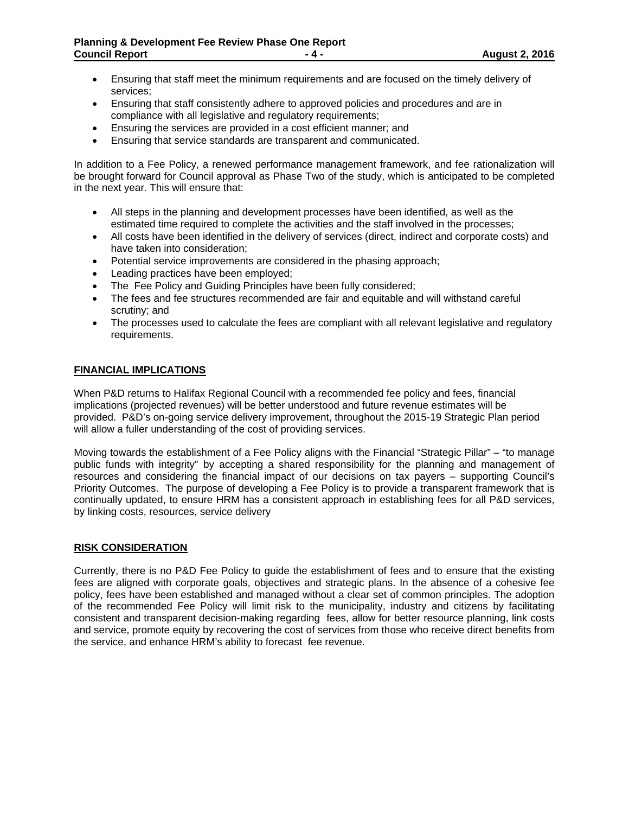- Ensuring that staff meet the minimum requirements and are focused on the timely delivery of services;
- Ensuring that staff consistently adhere to approved policies and procedures and are in compliance with all legislative and regulatory requirements;
- Ensuring the services are provided in a cost efficient manner; and
- Ensuring that service standards are transparent and communicated.

In addition to a Fee Policy, a renewed performance management framework, and fee rationalization will be brought forward for Council approval as Phase Two of the study, which is anticipated to be completed in the next year. This will ensure that:

- All steps in the planning and development processes have been identified, as well as the estimated time required to complete the activities and the staff involved in the processes;
- All costs have been identified in the delivery of services (direct, indirect and corporate costs) and have taken into consideration;
- Potential service improvements are considered in the phasing approach;
- Leading practices have been employed;
- The Fee Policy and Guiding Principles have been fully considered;
- The fees and fee structures recommended are fair and equitable and will withstand careful scrutiny; and
- The processes used to calculate the fees are compliant with all relevant legislative and regulatory requirements.

#### **FINANCIAL IMPLICATIONS**

When P&D returns to Halifax Regional Council with a recommended fee policy and fees, financial implications (projected revenues) will be better understood and future revenue estimates will be provided. P&D's on-going service delivery improvement, throughout the 2015-19 Strategic Plan period will allow a fuller understanding of the cost of providing services.

Moving towards the establishment of a Fee Policy aligns with the Financial "Strategic Pillar" – "to manage public funds with integrity" by accepting a shared responsibility for the planning and management of resources and considering the financial impact of our decisions on tax payers – supporting Council's Priority Outcomes. The purpose of developing a Fee Policy is to provide a transparent framework that is continually updated, to ensure HRM has a consistent approach in establishing fees for all P&D services, by linking costs, resources, service delivery

#### **RISK CONSIDERATION**

Currently, there is no P&D Fee Policy to guide the establishment of fees and to ensure that the existing fees are aligned with corporate goals, objectives and strategic plans. In the absence of a cohesive fee policy, fees have been established and managed without a clear set of common principles. The adoption of the recommended Fee Policy will limit risk to the municipality, industry and citizens by facilitating consistent and transparent decision-making regarding fees, allow for better resource planning, link costs and service, promote equity by recovering the cost of services from those who receive direct benefits from the service, and enhance HRM's ability to forecast fee revenue.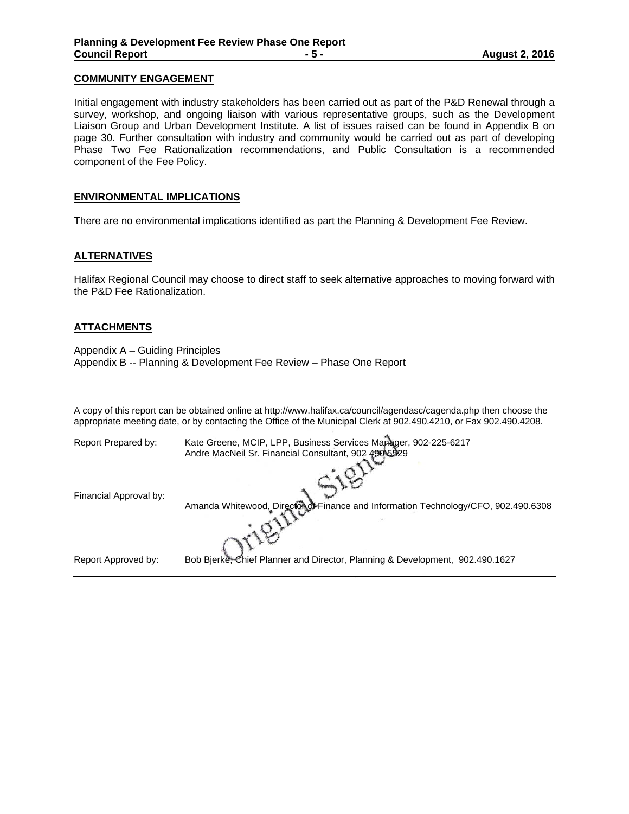#### **COMMUNITY ENGAGEMENT**

Initial engagement with industry stakeholders has been carried out as part of the P&D Renewal through a survey, workshop, and ongoing liaison with various representative groups, such as the Development Liaison Group and Urban Development Institute. A list of issues raised can be found in Appendix B on page 30. Further consultation with industry and community would be carried out as part of developing Phase Two Fee Rationalization recommendations, and Public Consultation is a recommended component of the Fee Policy.

#### **ENVIRONMENTAL IMPLICATIONS**

There are no environmental implications identified as part the Planning & Development Fee Review.

#### **ALTERNATIVES**

Halifax Regional Council may choose to direct staff to seek alternative approaches to moving forward with the P&D Fee Rationalization.

#### **ATTACHMENTS**

Appendix A – Guiding Principles Appendix B -- Planning & Development Fee Review – Phase One Report

A copy of this report can be obtained online at http://www.halifax.ca/council/agendasc/cagenda.php then choose the appropriate meeting date, or by contacting the Office of the Municipal Clerk at 902.490.4210, or Fax 902.490.4208.

| Report Prepared by:    | Kate Greene, MCIP, LPP, Business Services Manager, 902-225-6217<br>Andre MacNeil Sr. Financial Consultant, 902 490 5529 |
|------------------------|-------------------------------------------------------------------------------------------------------------------------|
|                        |                                                                                                                         |
| Financial Approval by: | Amanda Whitewood, Director of Finance and Information Technology/CFO, 902.490.6308                                      |
|                        |                                                                                                                         |
| Report Approved by:    | Bob Bjerke, Chief Planner and Director, Planning & Development, 902.490.1627                                            |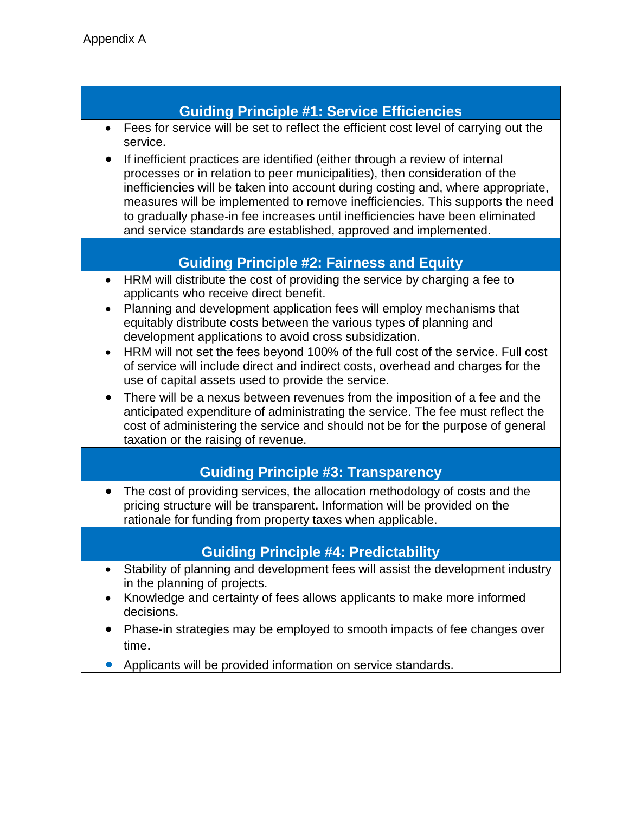# **Guiding Principle #1: Service Efficiencies**

- Fees for service will be set to reflect the efficient cost level of carrying out the service.
- If inefficient practices are identified (either through a review of internal processes or in relation to peer municipalities), then consideration of the inefficiencies will be taken into account during costing and, where appropriate, measures will be implemented to remove inefficiencies. This supports the need to gradually phase‐in fee increases until inefficiencies have been eliminated and service standards are established, approved and implemented.

# **Guiding Principle #2: Fairness and Equity**

- HRM will distribute the cost of providing the service by charging a fee to applicants who receive direct benefit.
- Planning and development application fees will employ mechanisms that equitably distribute costs between the various types of planning and development applications to avoid cross subsidization.
- HRM will not set the fees beyond 100% of the full cost of the service. Full cost of service will include direct and indirect costs, overhead and charges for the use of capital assets used to provide the service.
- There will be a nexus between revenues from the imposition of a fee and the anticipated expenditure of administrating the service. The fee must reflect the cost of administering the service and should not be for the purpose of general taxation or the raising of revenue.

# **Guiding Principle #3: Transparency**

 The cost of providing services, the allocation methodology of costs and the pricing structure will be transparent**.** Information will be provided on the rationale for funding from property taxes when applicable.

# **Guiding Principle #4: Predictability**

- Stability of planning and development fees will assist the development industry in the planning of projects.
- Knowledge and certainty of fees allows applicants to make more informed decisions.
- Phase-in strategies may be employed to smooth impacts of fee changes over time.
- Applicants will be provided information on service standards.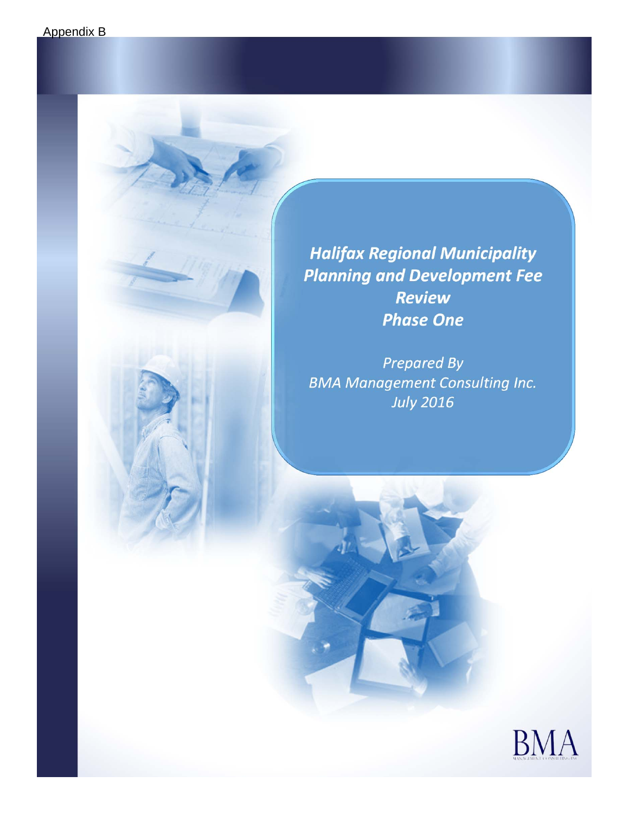*Halifax Regional Municipality Planning and Development Fee Review Phase One*

*Prepared By BMA Management Consulting Inc. July 2016*

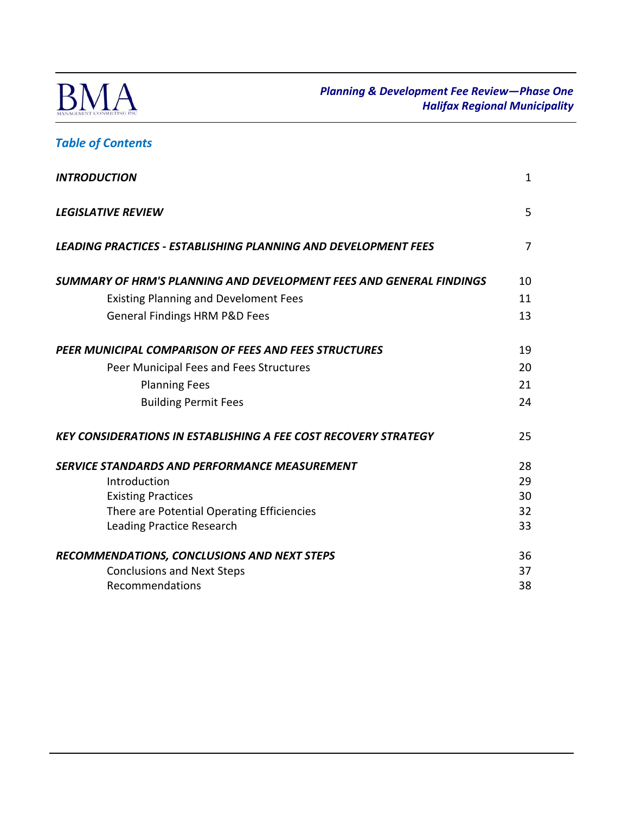

# *Table of Contents*

| <b>INTRODUCTION</b>                                                    | $\mathbf{1}$   |
|------------------------------------------------------------------------|----------------|
| <b>LEGISLATIVE REVIEW</b>                                              | 5              |
| <b>LEADING PRACTICES - ESTABLISHING PLANNING AND DEVELOPMENT FEES</b>  | $\overline{7}$ |
| SUMMARY OF HRM'S PLANNING AND DEVELOPMENT FEES AND GENERAL FINDINGS    | 10             |
| <b>Existing Planning and Develoment Fees</b>                           | 11             |
| <b>General Findings HRM P&amp;D Fees</b>                               | 13             |
| PEER MUNICIPAL COMPARISON OF FEES AND FEES STRUCTURES                  | 19             |
| Peer Municipal Fees and Fees Structures                                | 20             |
| <b>Planning Fees</b>                                                   | 21             |
| <b>Building Permit Fees</b>                                            | 24             |
| <b>KEY CONSIDERATIONS IN ESTABLISHING A FEE COST RECOVERY STRATEGY</b> | 25             |
| SERVICE STANDARDS AND PERFORMANCE MEASUREMENT                          | 28             |
| Introduction                                                           | 29             |
| <b>Existing Practices</b>                                              | 30             |
| There are Potential Operating Efficiencies                             | 32             |
| <b>Leading Practice Research</b>                                       | 33             |
| RECOMMENDATIONS, CONCLUSIONS AND NEXT STEPS                            | 36             |
| <b>Conclusions and Next Steps</b>                                      | 37             |
| Recommendations                                                        | 38             |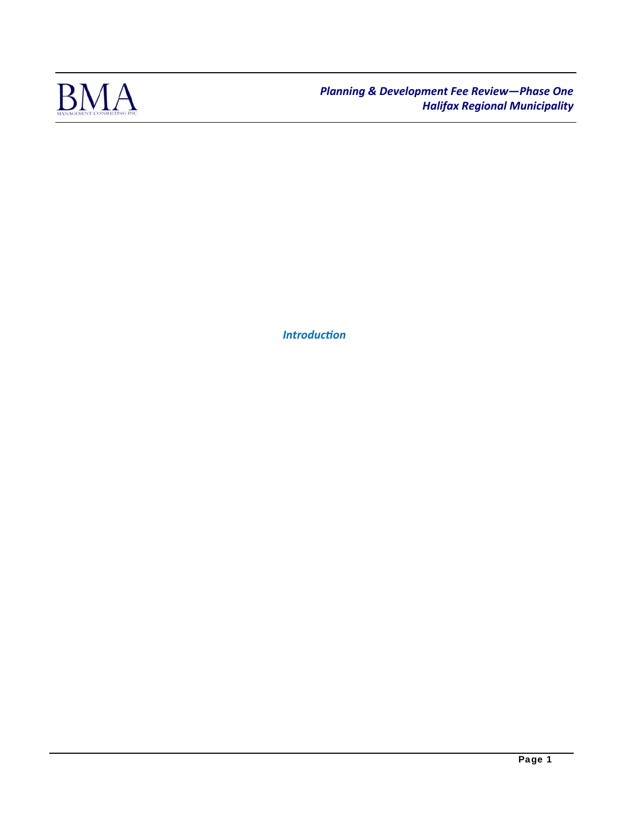

*IntroducƟon*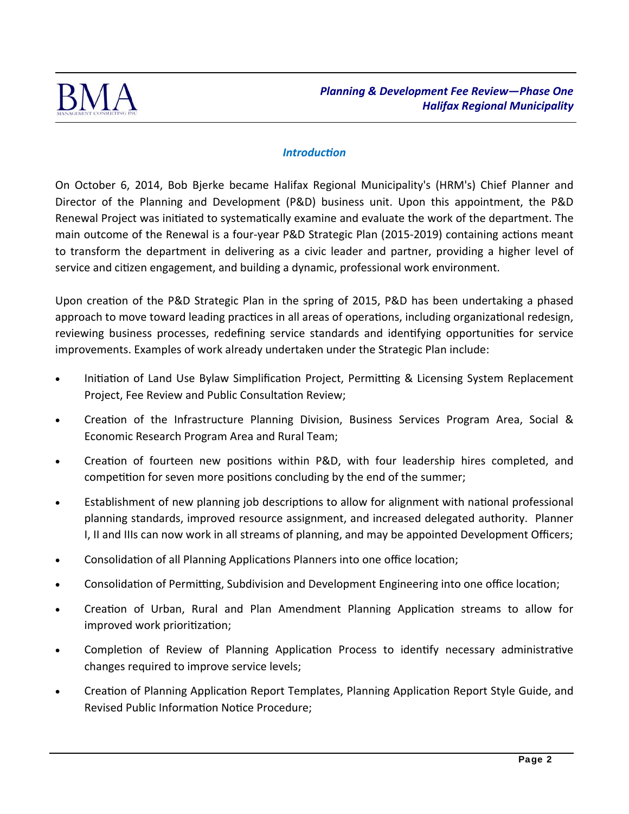

## *IntroducƟon*

On October 6, 2014, Bob Bjerke became Halifax Regional Municipality's (HRM's) Chief Planner and Director of the Planning and Development (P&D) business unit. Upon this appointment, the P&D Renewal Project was initiated to systematically examine and evaluate the work of the department. The main outcome of the Renewal is a four-year P&D Strategic Plan (2015-2019) containing actions meant to transform the department in delivering as a civic leader and partner, providing a higher level of service and citizen engagement, and building a dynamic, professional work environment.

Upon creation of the P&D Strategic Plan in the spring of 2015, P&D has been undertaking a phased approach to move toward leading practices in all areas of operations, including organizational redesign, reviewing business processes, redefining service standards and identifying opportunities for service improvements. Examples of work already undertaken under the Strategic Plan include:

- Initiation of Land Use Bylaw Simplification Project, Permitting & Licensing System Replacement Project, Fee Review and Public Consultation Review;
- Creation of the Infrastructure Planning Division, Business Services Program Area, Social & Economic Research Program Area and Rural Team;
- Creation of fourteen new positions within P&D, with four leadership hires completed, and competition for seven more positions concluding by the end of the summer;
- Establishment of new planning job descriptions to allow for alignment with national professional planning standards, improved resource assignment, and increased delegated authority. Planner I, II and IIIs can now work in all streams of planning, and may be appointed Development Officers;
- Consolidation of all Planning Applications Planners into one office location;
- Consolidation of Permitting, Subdivision and Development Engineering into one office location;
- Creation of Urban, Rural and Plan Amendment Planning Application streams to allow for improved work prioritization;
- Completion of Review of Planning Application Process to identify necessary administrative changes required to improve service levels;
- Creation of Planning Application Report Templates, Planning Application Report Style Guide, and Revised Public Information Notice Procedure;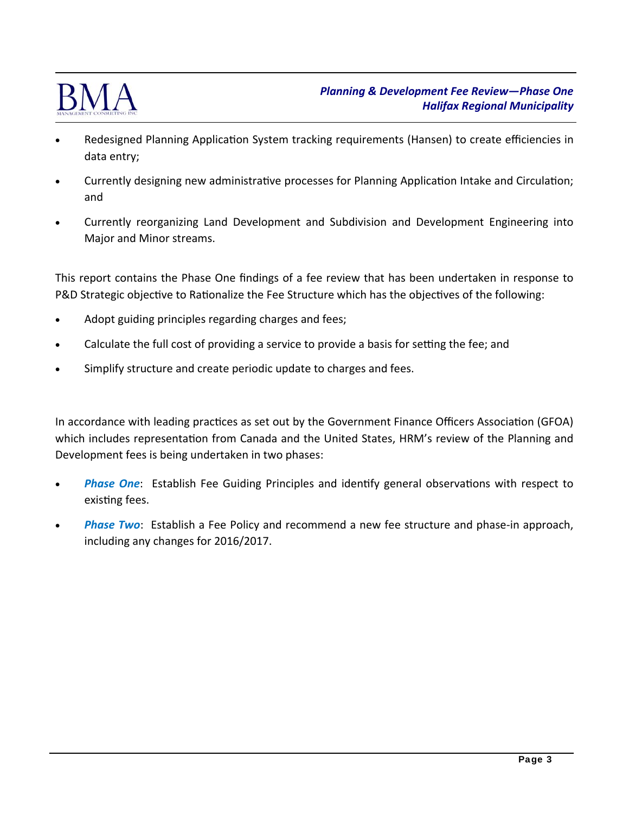

- Redesigned Planning Application System tracking requirements (Hansen) to create efficiencies in data entry;
- Currently designing new administrative processes for Planning Application Intake and Circulation; and
- Currently reorganizing Land Development and Subdivision and Development Engineering into Major and Minor streams.

This report contains the Phase One findings of a fee review that has been undertaken in response to P&D Strategic objective to Rationalize the Fee Structure which has the objectives of the following:

- Adopt guiding principles regarding charges and fees;
- Calculate the full cost of providing a service to provide a basis for setting the fee; and
- Simplify structure and create periodic update to charges and fees.

In accordance with leading practices as set out by the Government Finance Officers Association (GFOA) which includes representation from Canada and the United States, HRM's review of the Planning and Development fees is being undertaken in two phases:

- **Phase One:** Establish Fee Guiding Principles and identify general observations with respect to existing fees.
- **Phase Two**: Establish a Fee Policy and recommend a new fee structure and phase-in approach, including any changes for 2016/2017.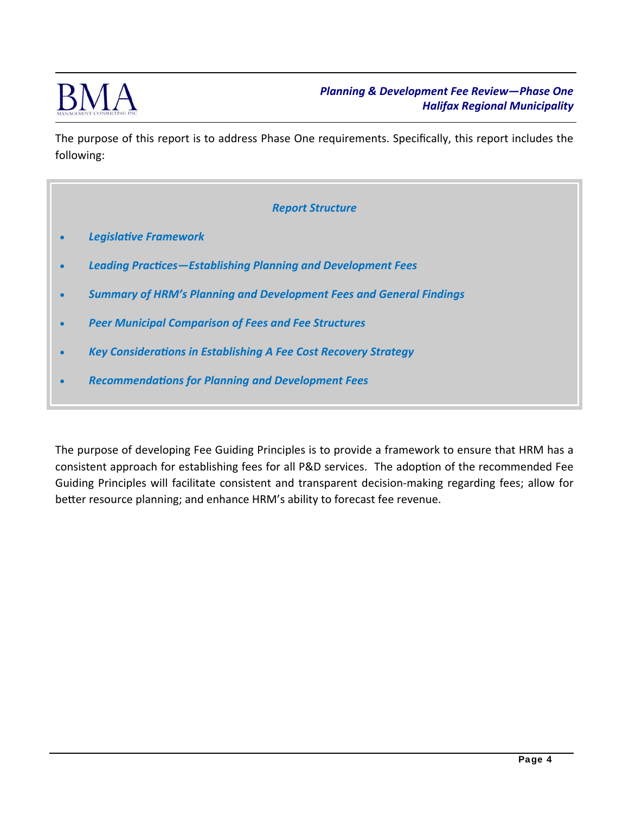

The purpose of this report is to address Phase One requirements. Specifically, this report includes the following:

#### *Report Structure*

- *LegislaƟve Framework*
- Leading Practices-Establishing Planning and Development Fees
- *Summary of HRM's Planning and Development Fees and General Findings*
- *Peer Municipal Comparison of Fees and Fee Structures*
- **Key Considerations in Establishing A Fee Cost Recovery Strategy**
- *RecommendaƟons for Planning and Development Fees*

The purpose of developing Fee Guiding Principles is to provide a framework to ensure that HRM has a consistent approach for establishing fees for all P&D services. The adoption of the recommended Fee Guiding Principles will facilitate consistent and transparent decision‐making regarding fees; allow for better resource planning; and enhance HRM's ability to forecast fee revenue.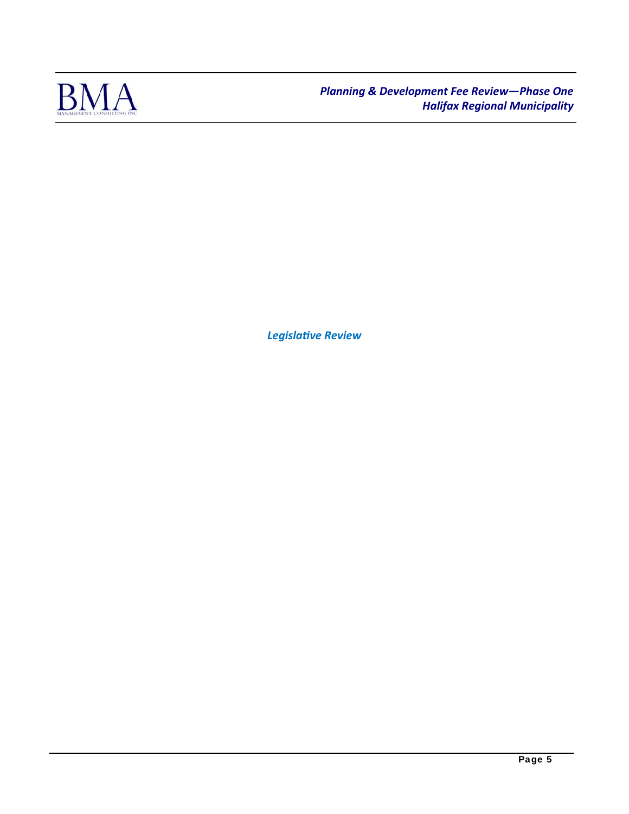

*LegislaƟve Review*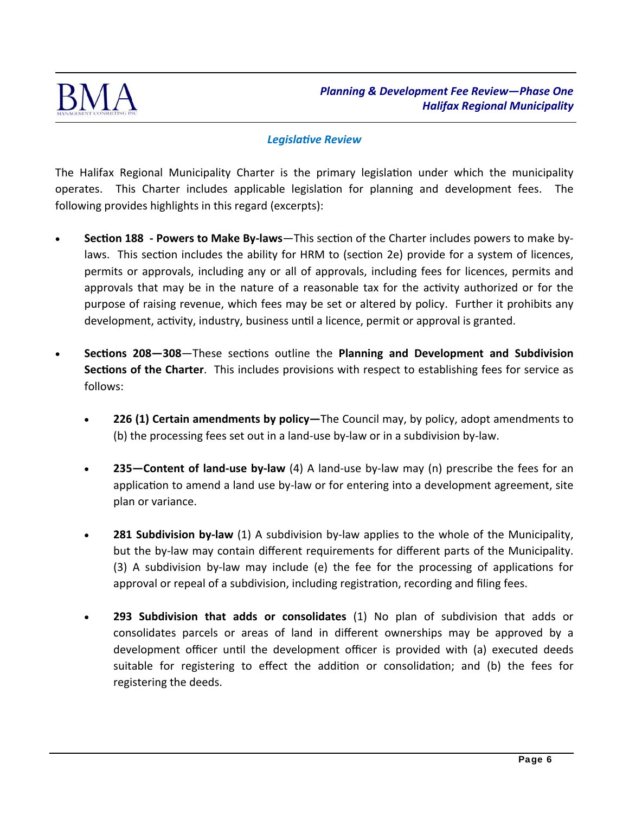

### **Legislative Review**

The Halifax Regional Municipality Charter is the primary legislation under which the municipality operates. This Charter includes applicable legislation for planning and development fees. The following provides highlights in this regard (excerpts):

- **Section 188 Powers to Make By-laws**—This section of the Charter includes powers to make bylaws. This section includes the ability for HRM to (section 2e) provide for a system of licences, permits or approvals, including any or all of approvals, including fees for licences, permits and approvals that may be in the nature of a reasonable tax for the activity authorized or for the purpose of raising revenue, which fees may be set or altered by policy. Further it prohibits any development, activity, industry, business until a licence, permit or approval is granted.
- **Sections 208–308–These sections outline the Planning and Development and Subdivision Sections of the Charter**. This includes provisions with respect to establishing fees for service as follows:
	- **226 (1) Certain amendments by policy—**The Council may, by policy, adopt amendments to (b) the processing fees set out in a land‐use by‐law or in a subdivision by‐law.
	- **235—Content of land‐use by‐law** (4) A land‐use by‐law may (n) prescribe the fees for an application to amend a land use by-law or for entering into a development agreement, site plan or variance.
	- **281 Subdivision by-law** (1) A subdivision by-law applies to the whole of the Municipality, but the by-law may contain different requirements for different parts of the Municipality. (3) A subdivision by-law may include (e) the fee for the processing of applications for approval or repeal of a subdivision, including registration, recording and filing fees.
	- **293 Subdivision that adds or consolidates** (1) No plan of subdivision that adds or consolidates parcels or areas of land in different ownerships may be approved by a development officer until the development officer is provided with (a) executed deeds suitable for registering to effect the addition or consolidation; and (b) the fees for registering the deeds.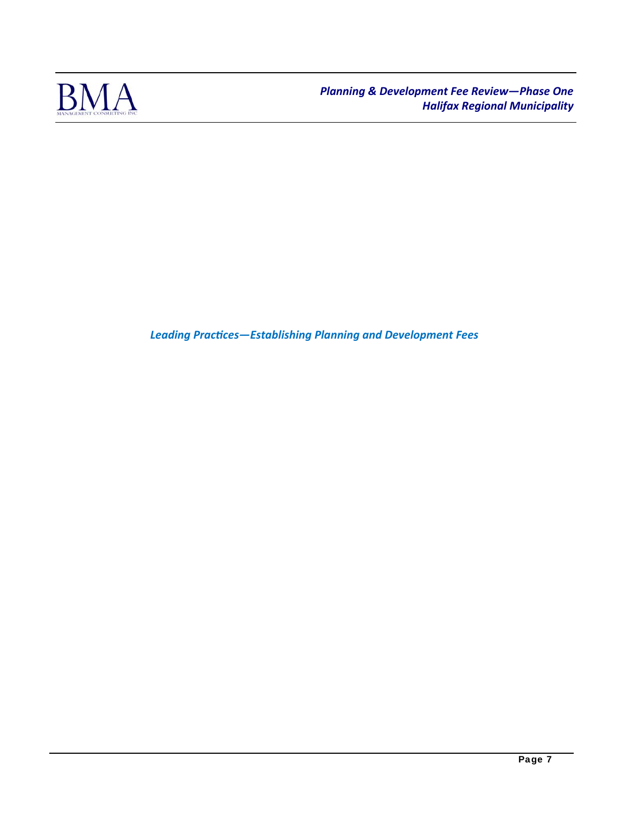

Leading Practices-Establishing Planning and Development Fees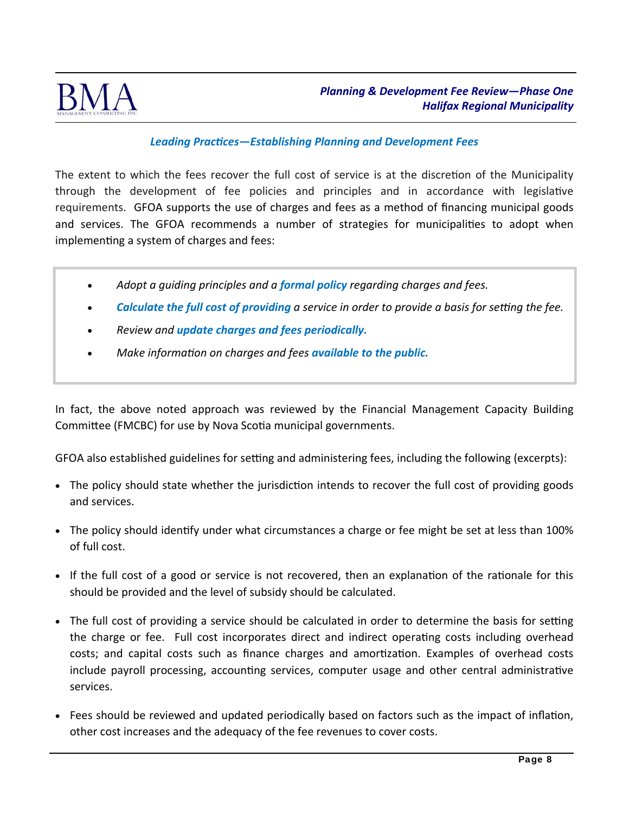

## *Leading PracƟces—Establishing Planning and Development Fees*

The extent to which the fees recover the full cost of service is at the discretion of the Municipality through the development of fee policies and principles and in accordance with legislative requirements. GFOA supports the use of charges and fees as a method of financing municipal goods and services. The GFOA recommends a number of strategies for municipalities to adopt when implementing a system of charges and fees:

- *Adopt a guiding principles and a formal policy regarding charges and fees.*
- **Calculate the full cost of providing** a service in order to provide a basis for setting the fee.
- *Review and update charges and fees periodically.*
- *Make informaƟon on charges and fees available to the public.*

In fact, the above noted approach was reviewed by the Financial Management Capacity Building Committee (FMCBC) for use by Nova Scotia municipal governments.

GFOA also established guidelines for setting and administering fees, including the following (excerpts):

- The policy should state whether the jurisdiction intends to recover the full cost of providing goods and services.
- The policy should identify under what circumstances a charge or fee might be set at less than 100% of full cost.
- If the full cost of a good or service is not recovered, then an explanation of the rationale for this should be provided and the level of subsidy should be calculated.
- The full cost of providing a service should be calculated in order to determine the basis for setting the charge or fee. Full cost incorporates direct and indirect operating costs including overhead costs; and capital costs such as finance charges and amortization. Examples of overhead costs include payroll processing, accounting services, computer usage and other central administrative services.
- Fees should be reviewed and updated periodically based on factors such as the impact of inflation, other cost increases and the adequacy of the fee revenues to cover costs.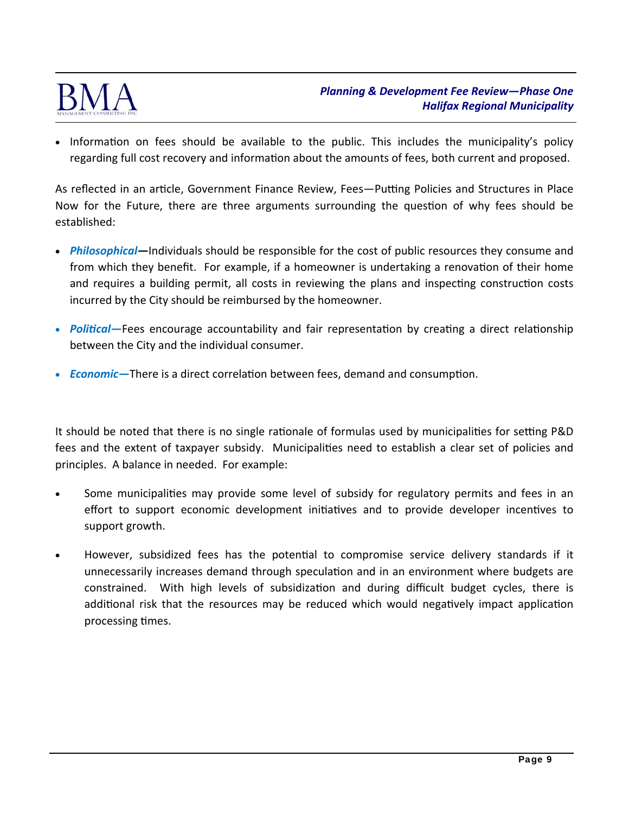

• Information on fees should be available to the public. This includes the municipality's policy regarding full cost recovery and information about the amounts of fees, both current and proposed.

As reflected in an article, Government Finance Review, Fees—Putting Policies and Structures in Place Now for the Future, there are three arguments surrounding the question of why fees should be established:

- *Philosophical—*Individuals should be responsible for the cost of public resources they consume and from which they benefit. For example, if a homeowner is undertaking a renovation of their home and requires a building permit, all costs in reviewing the plans and inspecting construction costs incurred by the City should be reimbursed by the homeowner.
- *Political—*Fees encourage accountability and fair representation by creating a direct relationship between the City and the individual consumer.
- *Economic*—There is a direct correlation between fees, demand and consumption.

It should be noted that there is no single rationale of formulas used by municipalities for setting P&D fees and the extent of taxpayer subsidy. Municipalities need to establish a clear set of policies and principles. A balance in needed. For example:

- Some municipalities may provide some level of subsidy for regulatory permits and fees in an effort to support economic development initiatives and to provide developer incentives to support growth.
- However, subsidized fees has the potential to compromise service delivery standards if it unnecessarily increases demand through speculation and in an environment where budgets are constrained. With high levels of subsidization and during difficult budget cycles, there is additional risk that the resources may be reduced which would negatively impact application processing times.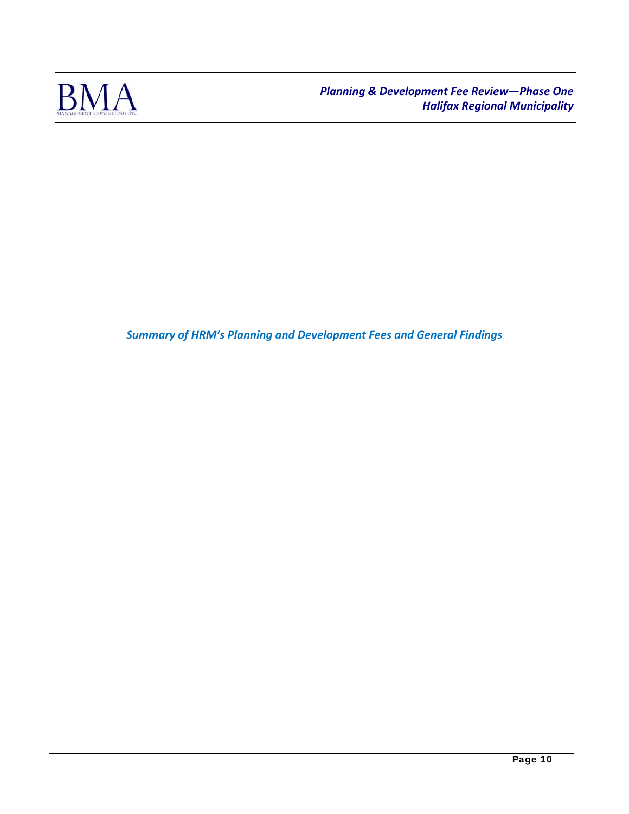

*Summary of HRM's Planning and Development Fees and General Findings*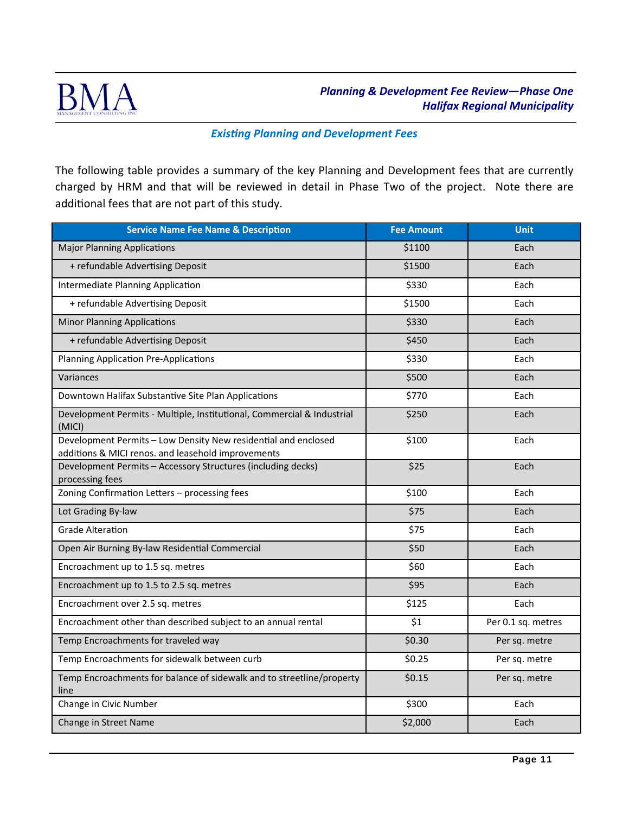

#### **Existing Planning and Development Fees**

The following table provides a summary of the key Planning and Development fees that are currently charged by HRM and that will be reviewed in detail in Phase Two of the project. Note there are additional fees that are not part of this study.

| <b>Service Name Fee Name &amp; Description</b>                                                                       | <b>Fee Amount</b> | <b>Unit</b>        |
|----------------------------------------------------------------------------------------------------------------------|-------------------|--------------------|
| <b>Major Planning Applications</b>                                                                                   | \$1100            | Each               |
| + refundable Advertising Deposit                                                                                     | \$1500            | Each               |
| Intermediate Planning Application                                                                                    | \$330             | Each               |
| + refundable Advertising Deposit                                                                                     | \$1500            | Each               |
| <b>Minor Planning Applications</b>                                                                                   | \$330             | Each               |
| + refundable Advertising Deposit                                                                                     | \$450             | Each               |
| <b>Planning Application Pre-Applications</b>                                                                         | \$330             | Each               |
| Variances                                                                                                            | \$500             | Each               |
| Downtown Halifax Substantive Site Plan Applications                                                                  | \$770             | Each               |
| Development Permits - Multiple, Institutional, Commercial & Industrial<br>(MICI)                                     | \$250             | Each               |
| Development Permits - Low Density New residential and enclosed<br>additions & MICI renos. and leasehold improvements | \$100             | Each               |
| Development Permits - Accessory Structures (including decks)<br>processing fees                                      | \$25              | Each               |
| Zoning Confirmation Letters - processing fees                                                                        | \$100             | Each               |
| Lot Grading By-law                                                                                                   | \$75              | Each               |
| <b>Grade Alteration</b>                                                                                              | \$75              | Each               |
| Open Air Burning By-law Residential Commercial                                                                       | \$50              | Each               |
| Encroachment up to 1.5 sq. metres                                                                                    | \$60              | Each               |
| Encroachment up to 1.5 to 2.5 sq. metres                                                                             | \$95              | Each               |
| Encroachment over 2.5 sq. metres                                                                                     | \$125             | Each               |
| Encroachment other than described subject to an annual rental                                                        | \$1               | Per 0.1 sq. metres |
| Temp Encroachments for traveled way                                                                                  | \$0.30            | Per sq. metre      |
| Temp Encroachments for sidewalk between curb                                                                         | \$0.25            | Per sq. metre      |
| Temp Encroachments for balance of sidewalk and to streetline/property<br>line                                        | \$0.15            | Per sq. metre      |
| Change in Civic Number                                                                                               | \$300             | Each               |
| Change in Street Name                                                                                                | \$2,000           | Each               |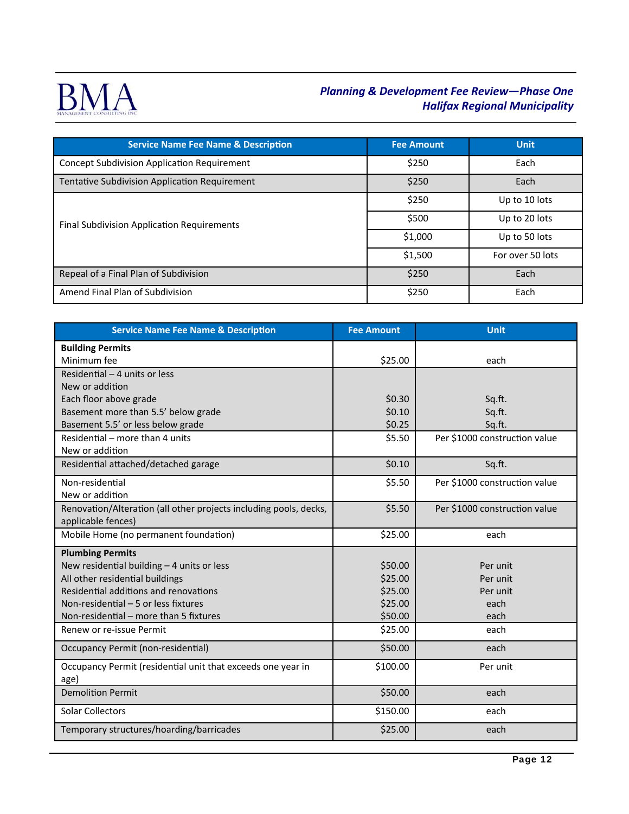

| <b>Service Name Fee Name &amp; Description</b>     | <b>Fee Amount</b> | Unit             |
|----------------------------------------------------|-------------------|------------------|
| <b>Concept Subdivision Application Requirement</b> | \$250             | Each             |
| Tentative Subdivision Application Requirement      | \$250             | Each             |
|                                                    | \$250             | Up to 10 lots    |
| Final Subdivision Application Requirements         | \$500             | Up to 20 lots    |
|                                                    | \$1,000           | Up to 50 lots    |
|                                                    | \$1,500           | For over 50 lots |
| Repeal of a Final Plan of Subdivision              | \$250             | Each             |
| Amend Final Plan of Subdivision                    | \$250             | Each             |

| <b>Service Name Fee Name &amp; Description</b>                    | <b>Fee Amount</b> | <b>Unit</b>                   |
|-------------------------------------------------------------------|-------------------|-------------------------------|
| <b>Building Permits</b>                                           |                   |                               |
| Minimum fee                                                       | \$25.00           | each                          |
| Residential - 4 units or less                                     |                   |                               |
| New or addition                                                   |                   |                               |
| Each floor above grade                                            | \$0.30            | Sq.ft.                        |
| Basement more than 5.5' below grade                               | \$0.10            | Sq.ft.                        |
| Basement 5.5' or less below grade                                 | \$0.25            | Sq.ft.                        |
| Residential - more than 4 units                                   | \$5.50            | Per \$1000 construction value |
| New or addition                                                   |                   |                               |
| Residential attached/detached garage                              | \$0.10            | Sq.ft.                        |
| Non-residential                                                   | \$5.50            | Per \$1000 construction value |
| New or addition                                                   |                   |                               |
| Renovation/Alteration (all other projects including pools, decks, | \$5.50            | Per \$1000 construction value |
| applicable fences)                                                |                   |                               |
| Mobile Home (no permanent foundation)                             | \$25.00           | each                          |
| <b>Plumbing Permits</b>                                           |                   |                               |
| New residential building - 4 units or less                        | \$50.00           | Per unit                      |
| All other residential buildings                                   | \$25.00           | Per unit                      |
| Residential additions and renovations                             | \$25.00           | Per unit                      |
| Non-residential - 5 or less fixtures                              | \$25.00           | each                          |
| Non-residential – more than 5 fixtures                            | \$50.00           | each                          |
| Renew or re-issue Permit                                          | \$25.00           | each                          |
| <b>Occupancy Permit (non-residential)</b>                         | \$50.00           | each                          |
| Occupancy Permit (residential unit that exceeds one year in       | \$100.00          | Per unit                      |
| age)                                                              |                   |                               |
| <b>Demolition Permit</b>                                          | \$50.00           | each                          |
| Solar Collectors                                                  | \$150.00          | each                          |
| Temporary structures/hoarding/barricades                          | \$25.00           | each                          |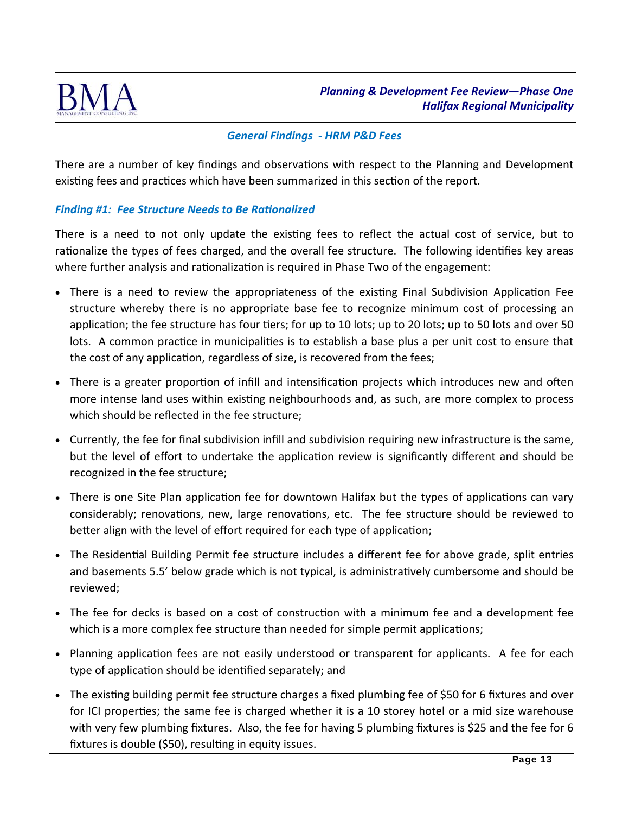

## *General Findings ‐ HRM P&D Fees*

There are a number of key findings and observations with respect to the Planning and Development existing fees and practices which have been summarized in this section of the report.

### **Finding #1: Fee Structure Needs to Be Rationalized**

There is a need to not only update the existing fees to reflect the actual cost of service, but to rationalize the types of fees charged, and the overall fee structure. The following identifies key areas where further analysis and rationalization is required in Phase Two of the engagement:

- There is a need to review the appropriateness of the existing Final Subdivision Application Fee structure whereby there is no appropriate base fee to recognize minimum cost of processing an application; the fee structure has four tiers; for up to 10 lots; up to 20 lots; up to 50 lots and over 50 lots. A common practice in municipalities is to establish a base plus a per unit cost to ensure that the cost of any application, regardless of size, is recovered from the fees;
- There is a greater proportion of infill and intensification projects which introduces new and often more intense land uses within existing neighbourhoods and, as such, are more complex to process which should be reflected in the fee structure;
- Currently, the fee for final subdivision infill and subdivision requiring new infrastructure is the same, but the level of effort to undertake the application review is significantly different and should be recognized in the fee structure;
- There is one Site Plan application fee for downtown Halifax but the types of applications can vary considerably; renovations, new, large renovations, etc. The fee structure should be reviewed to better align with the level of effort required for each type of application;
- The Residential Building Permit fee structure includes a different fee for above grade, split entries and basements 5.5' below grade which is not typical, is administratively cumbersome and should be reviewed;
- The fee for decks is based on a cost of construction with a minimum fee and a development fee which is a more complex fee structure than needed for simple permit applications;
- Planning application fees are not easily understood or transparent for applicants. A fee for each type of application should be identified separately; and
- The existing building permit fee structure charges a fixed plumbing fee of \$50 for 6 fixtures and over for ICI properties; the same fee is charged whether it is a 10 storey hotel or a mid size warehouse with very few plumbing fixtures. Also, the fee for having 5 plumbing fixtures is \$25 and the fee for 6 fixtures is double (\$50), resulting in equity issues.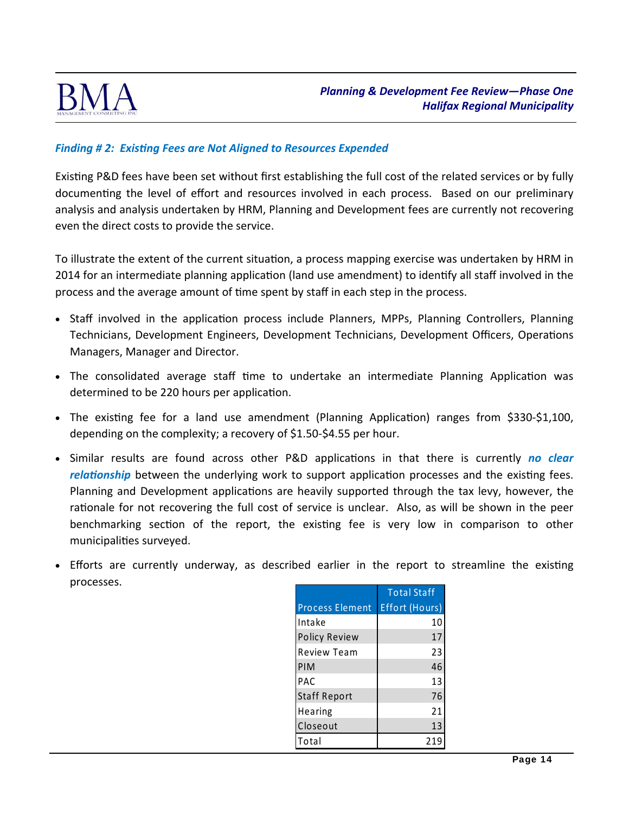

# **Finding #2: Existing Fees are Not Aligned to Resources Expended**

Existing P&D fees have been set without first establishing the full cost of the related services or by fully documenting the level of effort and resources involved in each process. Based on our preliminary analysis and analysis undertaken by HRM, Planning and Development fees are currently not recovering even the direct costs to provide the service.

To illustrate the extent of the current situation, a process mapping exercise was undertaken by HRM in 2014 for an intermediate planning application (land use amendment) to identify all staff involved in the process and the average amount of time spent by staff in each step in the process.

- Staff involved in the application process include Planners, MPPs, Planning Controllers, Planning Technicians, Development Engineers, Development Technicians, Development Officers, Operations Managers, Manager and Director.
- The consolidated average staff time to undertake an intermediate Planning Application was determined to be 220 hours per application.
- The existing fee for a land use amendment (Planning Application) ranges from \$330-\$1,100, depending on the complexity; a recovery of \$1.50‐\$4.55 per hour.
- Similar results are found across other P&D applications in that there is currently *no clear relationship* between the underlying work to support application processes and the existing fees. Planning and Development applications are heavily supported through the tax levy, however, the rationale for not recovering the full cost of service is unclear. Also, as will be shown in the peer benchmarking section of the report, the existing fee is very low in comparison to other municipalities surveyed.
- Efforts are currently underway, as described earlier in the report to streamline the existing processes.

|                        | <b>Total Staff</b> |
|------------------------|--------------------|
| <b>Process Element</b> | Effort (Hours)     |
| Intake                 | 10                 |
| <b>Policy Review</b>   | 17                 |
| <b>Review Team</b>     | 23                 |
| PIM                    | 46                 |
| <b>PAC</b>             | 13                 |
| <b>Staff Report</b>    | 76                 |
| Hearing                | 21                 |
| Closeout               | 13                 |
| Total                  |                    |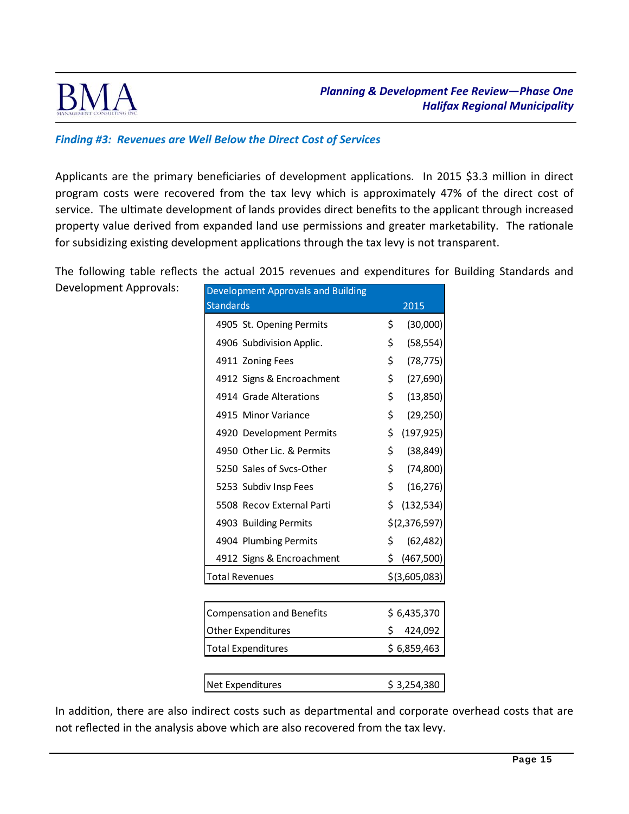

# *Finding #3: Revenues are Well Below the Direct Cost of Services*

Applicants are the primary beneficiaries of development applications. In 2015 \$3.3 million in direct program costs were recovered from the tax levy which is approximately 47% of the direct cost of service. The ultimate development of lands provides direct benefits to the applicant through increased property value derived from expanded land use permissions and greater marketability. The rationale for subsidizing existing development applications through the tax levy is not transparent.

The following table reflects the actual 2015 revenues and expenditures for Building Standards and

Development Approvals:

| Development Approvals and Building |     |                 |
|------------------------------------|-----|-----------------|
| <b>Standards</b>                   |     | 2015            |
| 4905 St. Opening Permits           | \$  | (30,000)        |
| 4906 Subdivision Applic.           | \$  | (58, 554)       |
| 4911 Zoning Fees                   | \$  | (78, 775)       |
| 4912 Signs & Encroachment          | \$  | (27, 690)       |
| 4914 Grade Alterations             | \$  | (13, 850)       |
| 4915 Minor Variance                | \$  | (29, 250)       |
| 4920 Development Permits           | \$  | (197, 925)      |
| 4950 Other Lic. & Permits          | \$  | (38, 849)       |
| 5250 Sales of Svcs-Other           | \$  | (74, 800)       |
| 5253 Subdiv Insp Fees              | \$  | (16, 276)       |
| 5508 Recov External Parti          | \$  | (132, 534)      |
| 4903 Building Permits              |     | \$(2,376,597)   |
| 4904 Plumbing Permits              | \$  | (62, 482)       |
| 4912 Signs & Encroachment          | \$. | (467,500)       |
| <b>Total Revenues</b>              |     | $$$ (3,605,083) |
|                                    |     |                 |
| <b>Compensation and Benefits</b>   |     | \$6,435,370     |
| <b>Other Expenditures</b>          |     | \$.<br>424,092  |
| <b>Total Expenditures</b>          |     | \$6,859,463     |
|                                    |     |                 |
| Net Expenditures                   |     | \$3,254,380     |

In addition, there are also indirect costs such as departmental and corporate overhead costs that are not reflected in the analysis above which are also recovered from the tax levy.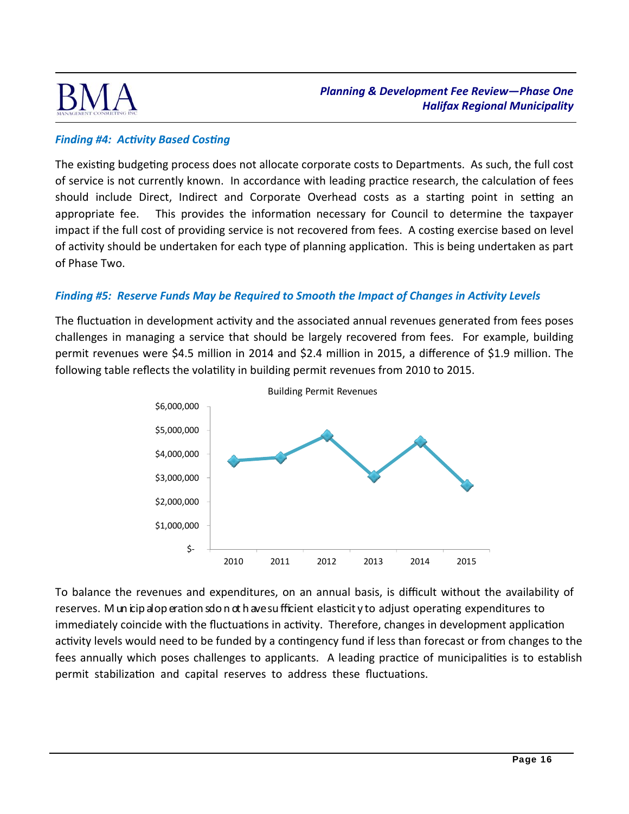

# **Finding #4: Activity Based Costing**

The existing budgeting process does not allocate corporate costs to Departments. As such, the full cost of service is not currently known. In accordance with leading practice research, the calculation of fees should include Direct, Indirect and Corporate Overhead costs as a starting point in setting an appropriate fee. This provides the informaƟon necessary for Council to determine the taxpayer impact if the full cost of providing service is not recovered from fees. A costing exercise based on level of activity should be undertaken for each type of planning application. This is being undertaken as part of Phase Two.

# *Finding #5: Reserve Funds May be Required to Smooth the Impact of Changes in Activity Levels*

The fluctuation in development activity and the associated annual revenues generated from fees poses challenges in managing a service that should be largely recovered from fees. For example, building permit revenues were \$4.5 million in 2014 and \$2.4 million in 2015, a difference of \$1.9 million. The following table reflects the volatility in building permit revenues from 2010 to 2015.



To balance the revenues and expenditures, on an annual basis, is difficult without the availability of reserves. M un icip al op eration sdo n ot h ave su fficient elasticit y to adjust operating expenditures to immediately coincide with the fluctuations in activity. Therefore, changes in development application activity levels would need to be funded by a contingency fund if less than forecast or from changes to the fees annually which poses challenges to applicants. A leading practice of municipalities is to establish permit stabilization and capital reserves to address these fluctuations.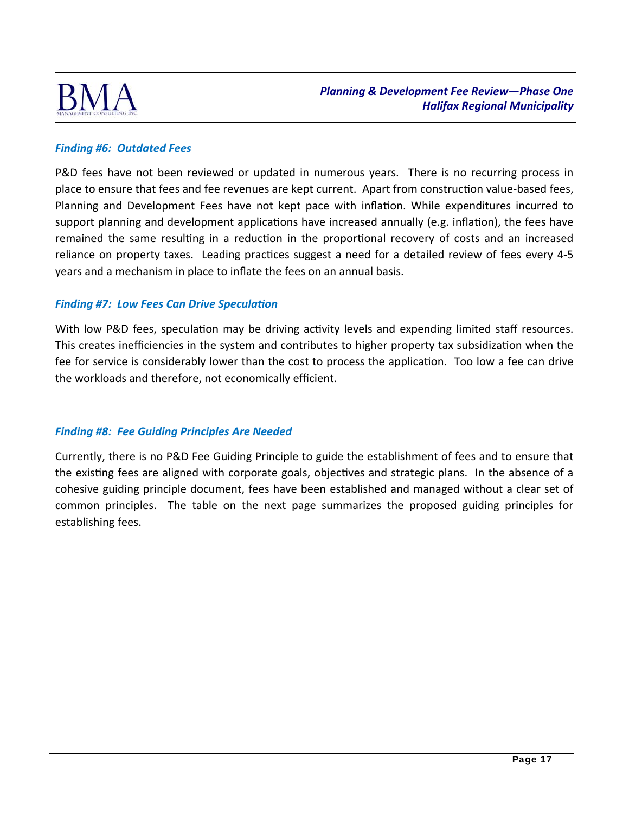

# *Finding #6: Outdated Fees*

P&D fees have not been reviewed or updated in numerous years. There is no recurring process in place to ensure that fees and fee revenues are kept current. Apart from construction value-based fees, Planning and Development Fees have not kept pace with inflation. While expenditures incurred to support planning and development applications have increased annually (e.g. inflation), the fees have remained the same resulting in a reduction in the proportional recovery of costs and an increased reliance on property taxes. Leading practices suggest a need for a detailed review of fees every 4-5 years and a mechanism in place to inflate the fees on an annual basis.

### **Finding #7: Low Fees Can Drive Speculation**

With low P&D fees, speculation may be driving activity levels and expending limited staff resources. This creates inefficiencies in the system and contributes to higher property tax subsidization when the fee for service is considerably lower than the cost to process the application. Too low a fee can drive the workloads and therefore, not economically efficient.

# *Finding #8: Fee Guiding Principles Are Needed*

Currently, there is no P&D Fee Guiding Principle to guide the establishment of fees and to ensure that the existing fees are aligned with corporate goals, objectives and strategic plans. In the absence of a cohesive guiding principle document, fees have been established and managed without a clear set of common principles. The table on the next page summarizes the proposed guiding principles for establishing fees.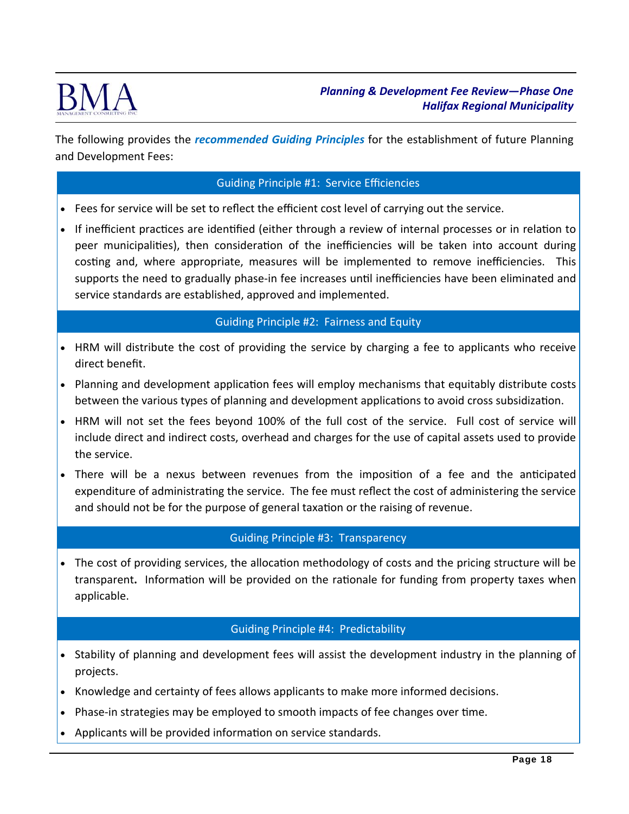

The following provides the *recommended Guiding Principles* for the establishment of future Planning and Development Fees:

### Guiding Principle #1: Service Efficiencies

- Fees for service will be set to reflect the efficient cost level of carrying out the service.
- If inefficient practices are identified (either through a review of internal processes or in relation to peer municipalities), then consideration of the inefficiencies will be taken into account during costing and, where appropriate, measures will be implemented to remove inefficiencies. This supports the need to gradually phase-in fee increases until inefficiencies have been eliminated and service standards are established, approved and implemented.

### Guiding Principle #2: Fairness and Equity

- HRM will distribute the cost of providing the service by charging a fee to applicants who receive direct benefit.
- Planning and development application fees will employ mechanisms that equitably distribute costs between the various types of planning and development applications to avoid cross subsidization.
- HRM will not set the fees beyond 100% of the full cost of the service. Full cost of service will include direct and indirect costs, overhead and charges for the use of capital assets used to provide the service.
- There will be a nexus between revenues from the imposition of a fee and the anticipated expenditure of administrating the service. The fee must reflect the cost of administering the service and should not be for the purpose of general taxation or the raising of revenue.

### Guiding Principle #3: Transparency

• The cost of providing services, the allocation methodology of costs and the pricing structure will be transparent. Information will be provided on the rationale for funding from property taxes when applicable.

### Guiding Principle #4: Predictability

- Stability of planning and development fees will assist the development industry in the planning of projects.
- Knowledge and certainty of fees allows applicants to make more informed decisions.
- Phase-in strategies may be employed to smooth impacts of fee changes over time.
- Applicants will be provided information on service standards.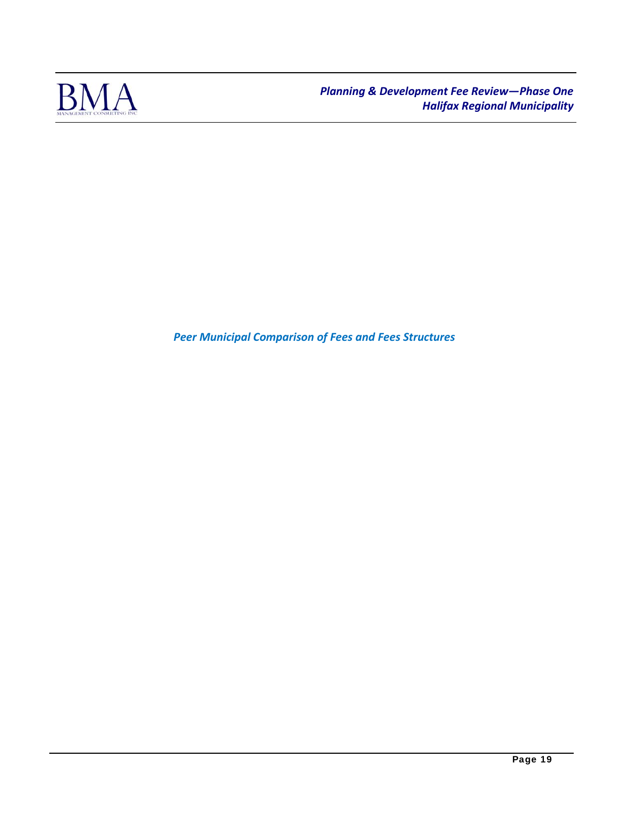

*Peer Municipal Comparison of Fees and Fees Structures*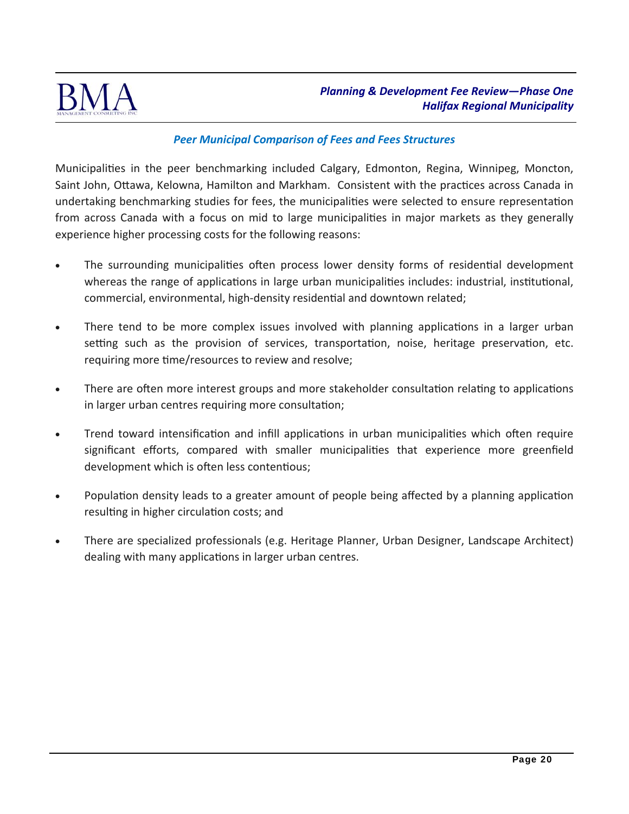

# *Peer Municipal Comparison of Fees and Fees Structures*

Municipalities in the peer benchmarking included Calgary, Edmonton, Regina, Winnipeg, Moncton, Saint John, Ottawa, Kelowna, Hamilton and Markham. Consistent with the practices across Canada in undertaking benchmarking studies for fees, the municipalities were selected to ensure representation from across Canada with a focus on mid to large municipalities in major markets as they generally experience higher processing costs for the following reasons:

- The surrounding municipalities often process lower density forms of residential development whereas the range of applications in large urban municipalities includes: industrial, institutional, commercial, environmental, high-density residential and downtown related;
- There tend to be more complex issues involved with planning applications in a larger urban setting such as the provision of services, transportation, noise, heritage preservation, etc. requiring more time/resources to review and resolve;
- There are often more interest groups and more stakeholder consultation relating to applications in larger urban centres requiring more consultation;
- Trend toward intensification and infill applications in urban municipalities which often require significant efforts, compared with smaller municipalities that experience more greenfield development which is often less contentious;
- Population density leads to a greater amount of people being affected by a planning application resulting in higher circulation costs; and
- There are specialized professionals (e.g. Heritage Planner, Urban Designer, Landscape Architect) dealing with many applications in larger urban centres.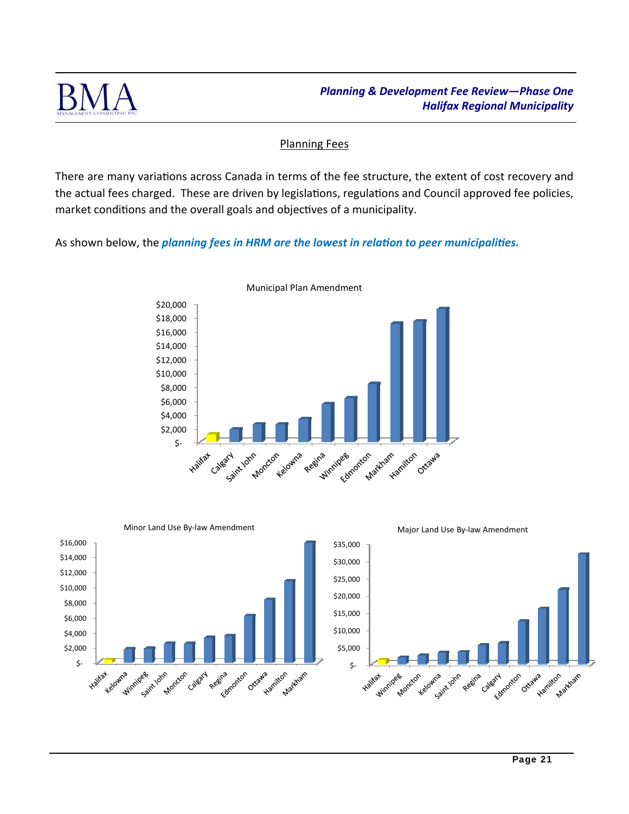

# Planning Fees

There are many variations across Canada in terms of the fee structure, the extent of cost recovery and the actual fees charged. These are driven by legislations, regulations and Council approved fee policies, market conditions and the overall goals and objectives of a municipality.

As shown below, the *planning fees in HRM are the lowest in relation to peer municipalities.* 



Municipal Plan Amendment

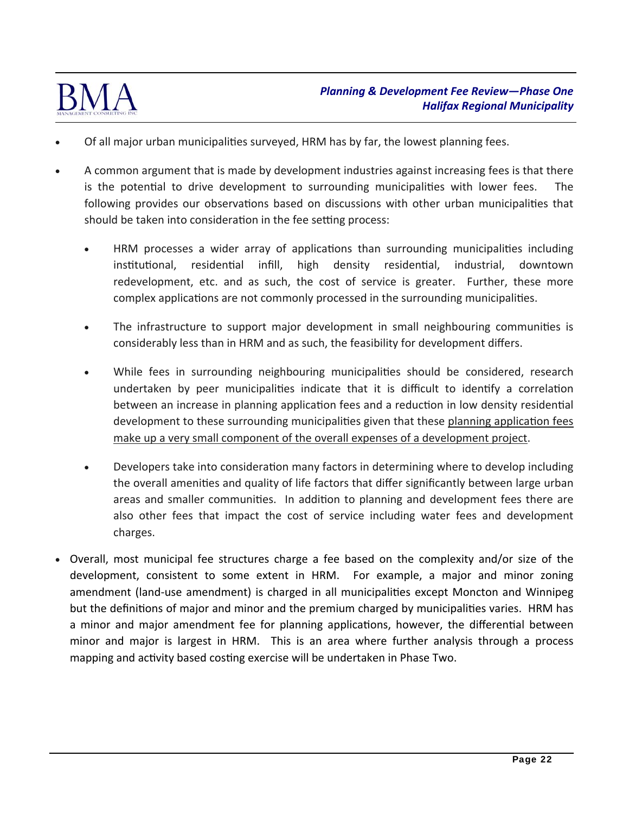

- Of all major urban municipalities surveyed, HRM has by far, the lowest planning fees.
- A common argument that is made by development industries against increasing fees is that there is the potential to drive development to surrounding municipalities with lower fees. following provides our observations based on discussions with other urban municipalities that should be taken into consideration in the fee setting process:
	- HRM processes a wider array of applications than surrounding municipalities including institutional, residential infill, high density residential, industrial, downtown redevelopment, etc. and as such, the cost of service is greater. Further, these more complex applications are not commonly processed in the surrounding municipalities.
	- The infrastructure to support major development in small neighbouring communities is considerably less than in HRM and as such, the feasibility for development differs.
	- While fees in surrounding neighbouring municipalities should be considered, research undertaken by peer municipalities indicate that it is difficult to identify a correlation between an increase in planning application fees and a reduction in low density residential development to these surrounding municipalities given that these planning application fees make up a very small component of the overall expenses of a development project.
	- Developers take into consideration many factors in determining where to develop including the overall amenities and quality of life factors that differ significantly between large urban areas and smaller communities. In addition to planning and development fees there are also other fees that impact the cost of service including water fees and development charges.
- Overall, most municipal fee structures charge a fee based on the complexity and/or size of the development, consistent to some extent in HRM. For example, a major and minor zoning amendment (land-use amendment) is charged in all municipalities except Moncton and Winnipeg but the definitions of major and minor and the premium charged by municipalities varies. HRM has a minor and major amendment fee for planning applications, however, the differential between minor and major is largest in HRM. This is an area where further analysis through a process mapping and activity based costing exercise will be undertaken in Phase Two.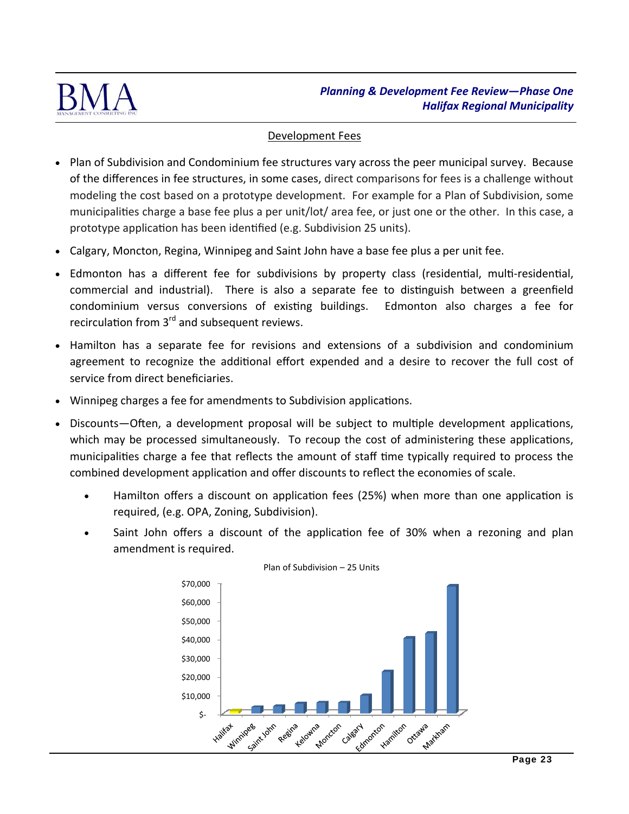

### Development Fees

- Plan of Subdivision and Condominium fee structures vary across the peer municipal survey. Because of the differences in fee structures, in some cases, direct comparisons for fees is a challenge without modeling the cost based on a prototype development. For example for a Plan of Subdivision, some municipalities charge a base fee plus a per unit/lot/ area fee, or just one or the other. In this case, a prototype application has been identified (e.g. Subdivision 25 units).
- Calgary, Moncton, Regina, Winnipeg and Saint John have a base fee plus a per unit fee.
- Edmonton has a different fee for subdivisions by property class (residential, multi-residential, commercial and industrial). There is also a separate fee to distinguish between a greenfield condominium versus conversions of existing buildings. Edmonton also charges a fee for recirculation from  $3<sup>rd</sup>$  and subsequent reviews.
- Hamilton has a separate fee for revisions and extensions of a subdivision and condominium agreement to recognize the additional effort expended and a desire to recover the full cost of service from direct beneficiaries.
- Winnipeg charges a fee for amendments to Subdivision applications.
- Discounts—Often, a development proposal will be subject to multiple development applications, which may be processed simultaneously. To recoup the cost of administering these applications, municipalities charge a fee that reflects the amount of staff time typically required to process the combined development application and offer discounts to reflect the economies of scale.
	- Hamilton offers a discount on application fees (25%) when more than one application is required, (e.g. OPA, Zoning, Subdivision).
	- Saint John offers a discount of the application fee of 30% when a rezoning and plan amendment is required.



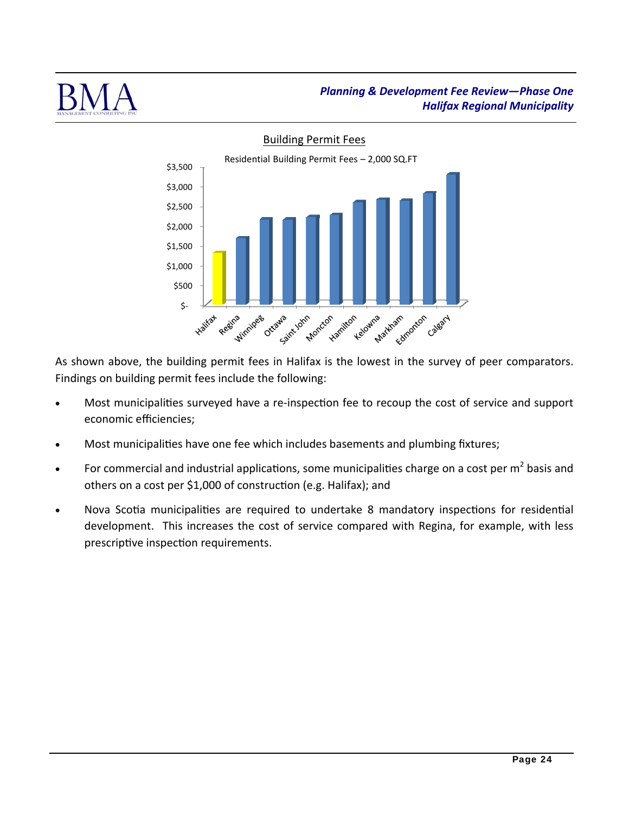



# As shown above, the building permit fees in Halifax is the lowest in the survey of peer comparators. Findings on building permit fees include the following:

- Most municipalities surveyed have a re-inspection fee to recoup the cost of service and support economic efficiencies;
- Most municipalities have one fee which includes basements and plumbing fixtures;
- For commercial and industrial applications, some municipalities charge on a cost per  $m^2$  basis and others on a cost per \$1,000 of construction (e.g. Halifax); and
- Nova Scotia municipalities are required to undertake 8 mandatory inspections for residential development. This increases the cost of service compared with Regina, for example, with less prescriptive inspection requirements.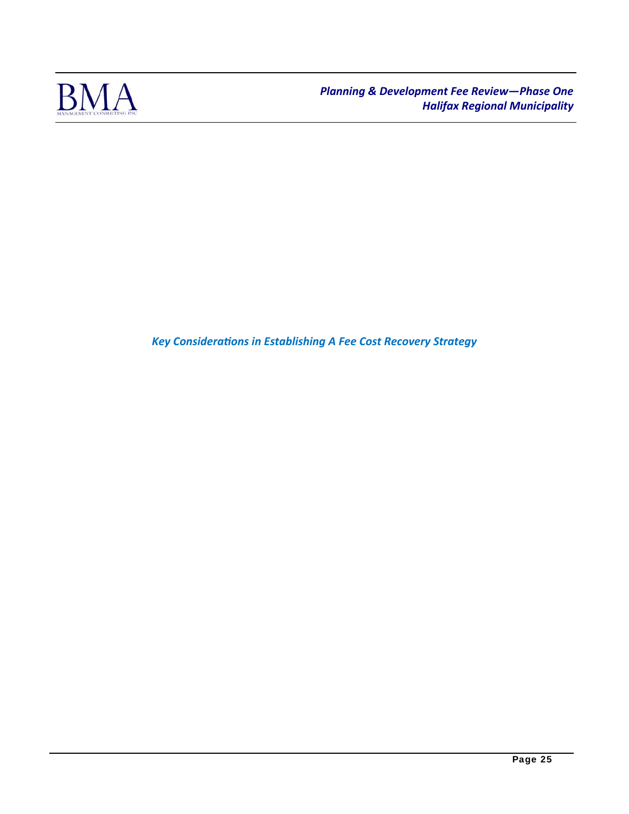

**Key Considerations in Establishing A Fee Cost Recovery Strategy**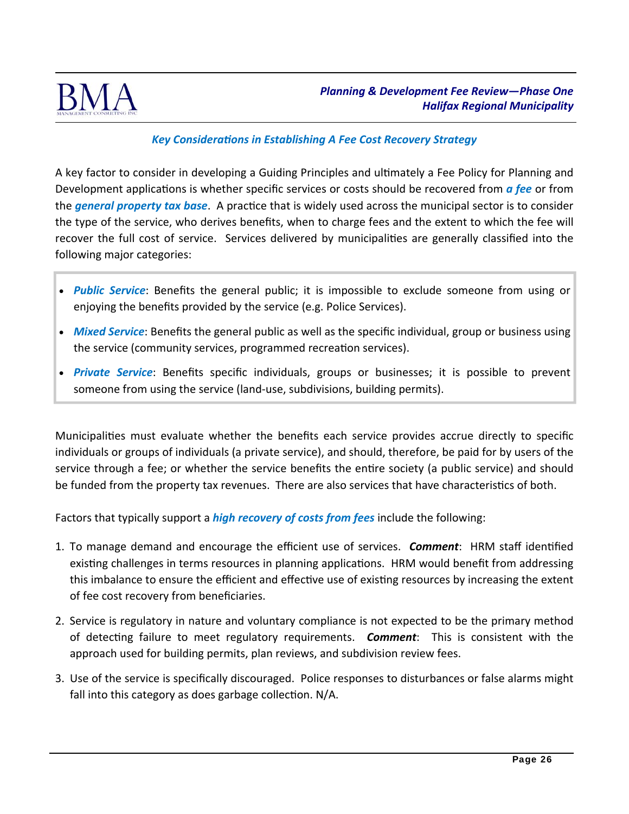

# *Key ConsideraƟons in Establishing A Fee Cost Recovery Strategy*

A key factor to consider in developing a Guiding Principles and ultimately a Fee Policy for Planning and Development applications is whether specific services or costs should be recovered from *a fee* or from the *general property tax base*. A practice that is widely used across the municipal sector is to consider the type of the service, who derives benefits, when to charge fees and the extent to which the fee will recover the full cost of service. Services delivered by municipalities are generally classified into the following major categories:

- **Public Service:** Benefits the general public; it is impossible to exclude someone from using or enjoying the benefits provided by the service (e.g. Police Services).
- *Mixed Service*: Benefits the general public as well as the specific individual, group or business using the service (community services, programmed recreation services).
- *Private Service*: Benefits specific individuals, groups or businesses; it is possible to prevent someone from using the service (land-use, subdivisions, building permits).

Municipalities must evaluate whether the benefits each service provides accrue directly to specific individuals or groups of individuals (a private service), and should, therefore, be paid for by users of the service through a fee; or whether the service benefits the entire society (a public service) and should be funded from the property tax revenues. There are also services that have characteristics of both.

Factors that typically support a *high recovery of costs from fees* include the following:

- 1. To manage demand and encourage the efficient use of services. *Comment***:** HRM staff identified existing challenges in terms resources in planning applications. HRM would benefit from addressing this imbalance to ensure the efficient and effective use of existing resources by increasing the extent of fee cost recovery from beneficiaries.
- 2. Service is regulatory in nature and voluntary compliance is not expected to be the primary method of detecting failure to meet regulatory requirements. **Comment**: This is consistent with the approach used for building permits, plan reviews, and subdivision review fees.
- 3. Use of the service is specifically discouraged. Police responses to disturbances or false alarms might fall into this category as does garbage collection.  $N/A$ .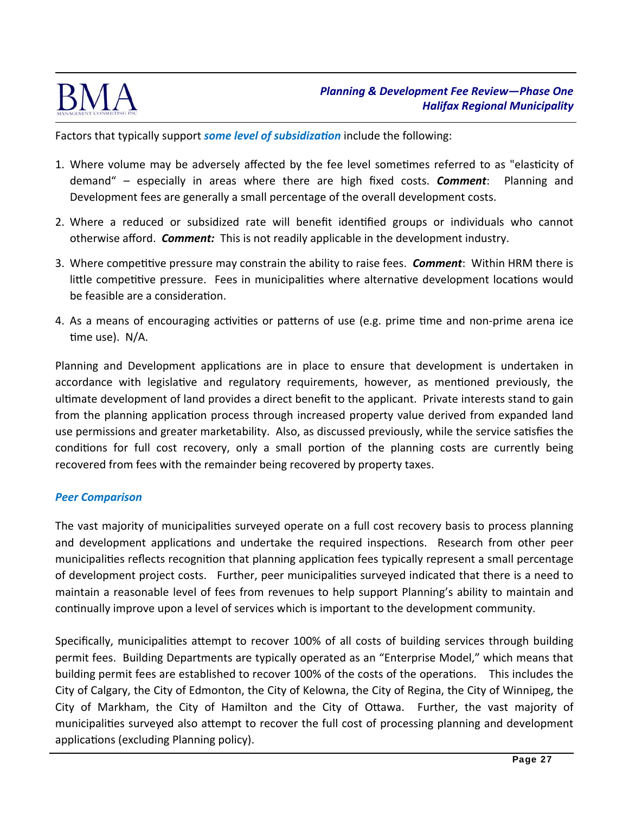

Factors that typically support *some level of subsidization* include the following:

- 1. Where volume may be adversely affected by the fee level sometimes referred to as "elasticity of demand" – especially in areas where there are high fixed costs. *Comment*: Planning and Development fees are generally a small percentage of the overall development costs.
- 2. Where a reduced or subsidized rate will benefit identified groups or individuals who cannot otherwise afford. *Comment:* This is not readily applicable in the development industry.
- 3. Where competitive pressure may constrain the ability to raise fees. *Comment*: Within HRM there is little competitive pressure. Fees in municipalities where alternative development locations would be feasible are a consideration.
- 4. As a means of encouraging activities or patterns of use (e.g. prime time and non-prime arena ice time use). N/A.

Planning and Development applications are in place to ensure that development is undertaken in accordance with legislative and regulatory requirements, however, as mentioned previously, the ultimate development of land provides a direct benefit to the applicant. Private interests stand to gain from the planning application process through increased property value derived from expanded land use permissions and greater marketability. Also, as discussed previously, while the service satisfies the conditions for full cost recovery, only a small portion of the planning costs are currently being recovered from fees with the remainder being recovered by property taxes.

### *Peer Comparison*

The vast majority of municipalities surveyed operate on a full cost recovery basis to process planning and development applications and undertake the required inspections. Research from other peer municipalities reflects recognition that planning application fees typically represent a small percentage of development project costs. Further, peer municipalities surveyed indicated that there is a need to maintain a reasonable level of fees from revenues to help support Planning's ability to maintain and continually improve upon a level of services which is important to the development community.

Specifically, municipalities attempt to recover 100% of all costs of building services through building permit fees. Building Departments are typically operated as an "Enterprise Model," which means that building permit fees are established to recover 100% of the costs of the operations. This includes the City of Calgary, the City of Edmonton, the City of Kelowna, the City of Regina, the City of Winnipeg, the City of Markham, the City of Hamilton and the City of Ottawa. Further, the vast majority of municipalities surveyed also attempt to recover the full cost of processing planning and development applications (excluding Planning policy).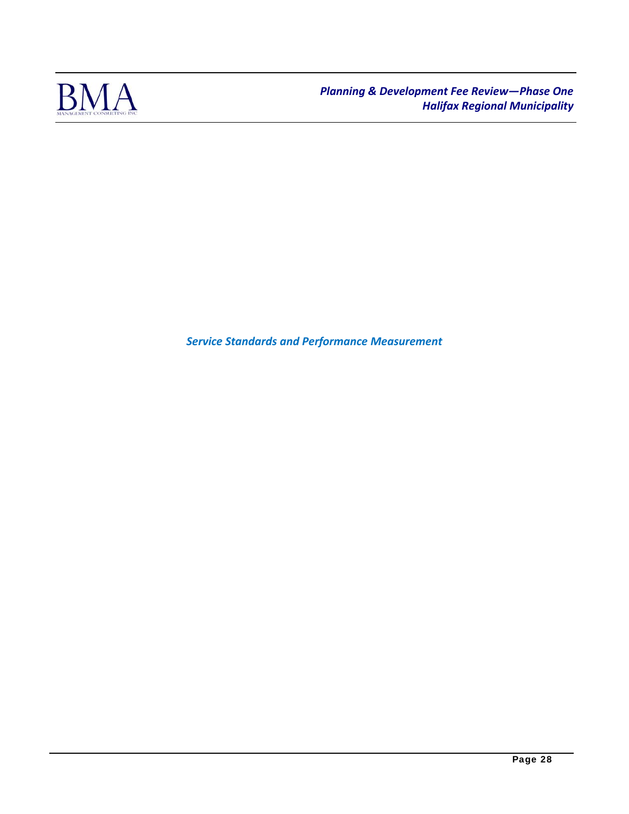

*Service Standards and Performance Measurement*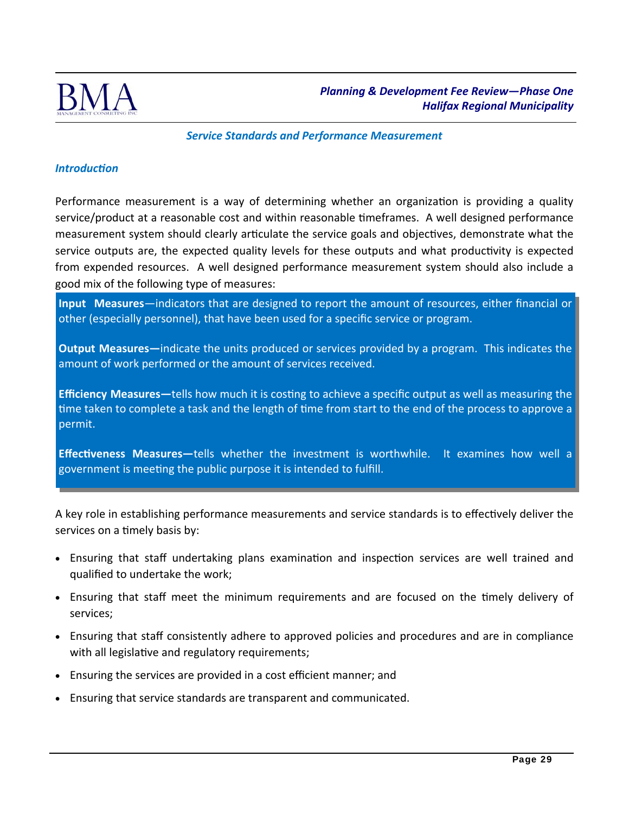

*Service Standards and Performance Measurement*

### *IntroducƟon*

Performance measurement is a way of determining whether an organization is providing a quality service/product at a reasonable cost and within reasonable timeframes. A well designed performance measurement system should clearly articulate the service goals and objectives, demonstrate what the service outputs are, the expected quality levels for these outputs and what productivity is expected from expended resources. A well designed performance measurement system should also include a good mix of the following type of measures:

**Input Measures**—indicators that are designed to report the amount of resources, either financial or other (especially personnel), that have been used for a specific service or program.

**Output Measures—**indicate the units produced or services provided by a program. This indicates the amount of work performed or the amount of services received.

**Efficiency Measures**—tells how much it is costing to achieve a specific output as well as measuring the time taken to complete a task and the length of time from start to the end of the process to approve a permit.

**Effectiveness Measures**—tells whether the investment is worthwhile. It examines how well a government is meeting the public purpose it is intended to fulfill.

A key role in establishing performance measurements and service standards is to effectively deliver the services on a timely basis by:

- Ensuring that staff undertaking plans examination and inspection services are well trained and qualified to undertake the work;
- Ensuring that staff meet the minimum requirements and are focused on the timely delivery of services;
- Ensuring that staff consistently adhere to approved policies and procedures and are in compliance with all legislative and regulatory requirements;
- Ensuring the services are provided in a cost efficient manner; and
- Ensuring that service standards are transparent and communicated.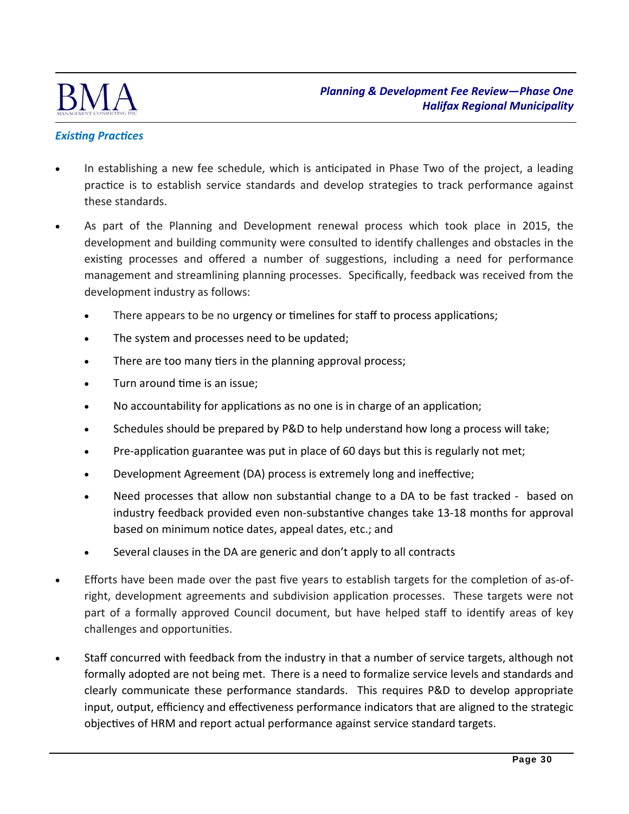

# **Existing Practices**

- In establishing a new fee schedule, which is anticipated in Phase Two of the project, a leading practice is to establish service standards and develop strategies to track performance against these standards.
- As part of the Planning and Development renewal process which took place in 2015, the development and building community were consulted to identify challenges and obstacles in the existing processes and offered a number of suggestions, including a need for performance management and streamlining planning processes. Specifically, feedback was received from the development industry as follows:
	- There appears to be no urgency or timelines for staff to process applications;
	- The system and processes need to be updated;
	- There are too many tiers in the planning approval process;
	- Turn around time is an issue;
	- No accountability for applications as no one is in charge of an application;
	- Schedules should be prepared by P&D to help understand how long a process will take;
	- Pre-application guarantee was put in place of 60 days but this is regularly not met;
	- Development Agreement (DA) process is extremely long and ineffective;
	- Need processes that allow non substantial change to a DA to be fast tracked based on industry feedback provided even non-substantive changes take 13-18 months for approval based on minimum notice dates, appeal dates, etc.; and
	- Several clauses in the DA are generic and don't apply to all contracts
- Efforts have been made over the past five years to establish targets for the completion of as-ofright, development agreements and subdivision application processes. These targets were not part of a formally approved Council document, but have helped staff to identify areas of key challenges and opportunities.
- Staff concurred with feedback from the industry in that a number of service targets, although not formally adopted are not being met. There is a need to formalize service levels and standards and clearly communicate these performance standards. This requires P&D to develop appropriate input, output, efficiency and effectiveness performance indicators that are aligned to the strategic objectives of HRM and report actual performance against service standard targets.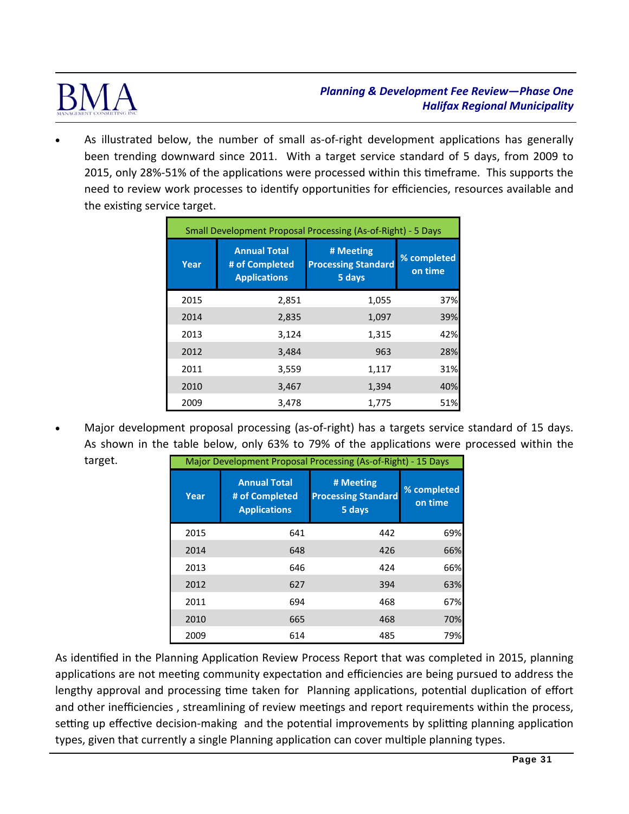

As illustrated below, the number of small as-of-right development applications has generally been trending downward since 2011. With a target service standard of 5 days, from 2009 to 2015, only 28%-51% of the applications were processed within this timeframe. This supports the need to review work processes to identify opportunities for efficiencies, resources available and the existing service target.

| Small Development Proposal Processing (As-of-Right) - 5 Days |                                                              |                                                   |                        |
|--------------------------------------------------------------|--------------------------------------------------------------|---------------------------------------------------|------------------------|
| Year                                                         | <b>Annual Total</b><br># of Completed<br><b>Applications</b> | # Meeting<br><b>Processing Standard</b><br>5 days | % completed<br>on time |
| 2015                                                         | 2,851                                                        | 1,055                                             | 37%                    |
| 2014                                                         | 2,835                                                        | 1,097                                             | 39%                    |
| 2013                                                         | 3,124                                                        | 1,315                                             | 42%                    |
| 2012                                                         | 3,484                                                        | 963                                               | 28%                    |
| 2011                                                         | 3,559                                                        | 1,117                                             | 31%                    |
| 2010                                                         | 3,467                                                        | 1,394                                             | 40%                    |
| 2009                                                         | 3,478                                                        | 1,775                                             | 51%                    |

Major development proposal processing (as-of-right) has a targets service standard of 15 days. As shown in the table below, only 63% to 79% of the applications were processed within the target.

| Major Development Proposal Processing (As-of-Right) - 15 Days |                                                              |                                                   |                        |
|---------------------------------------------------------------|--------------------------------------------------------------|---------------------------------------------------|------------------------|
| Year                                                          | <b>Annual Total</b><br># of Completed<br><b>Applications</b> | # Meeting<br><b>Processing Standard</b><br>5 days | % completed<br>on time |
| 2015                                                          | 641                                                          | 442                                               | 69%                    |
| 2014                                                          | 648                                                          | 426                                               | 66%                    |
| 2013                                                          | 646                                                          | 424                                               | 66%                    |
| 2012                                                          | 627                                                          | 394                                               | 63%                    |
| 2011                                                          | 694                                                          | 468                                               | 67%                    |
| 2010                                                          | 665                                                          | 468                                               | 70%                    |
| 2009                                                          | 614                                                          | 485                                               | 79%                    |

As identified in the Planning Application Review Process Report that was completed in 2015, planning applications are not meeting community expectation and efficiencies are being pursued to address the lengthy approval and processing time taken for Planning applications, potential duplication of effort and other inefficiencies, streamlining of review meetings and report requirements within the process, setting up effective decision-making and the potential improvements by splitting planning application types, given that currently a single Planning application can cover multiple planning types.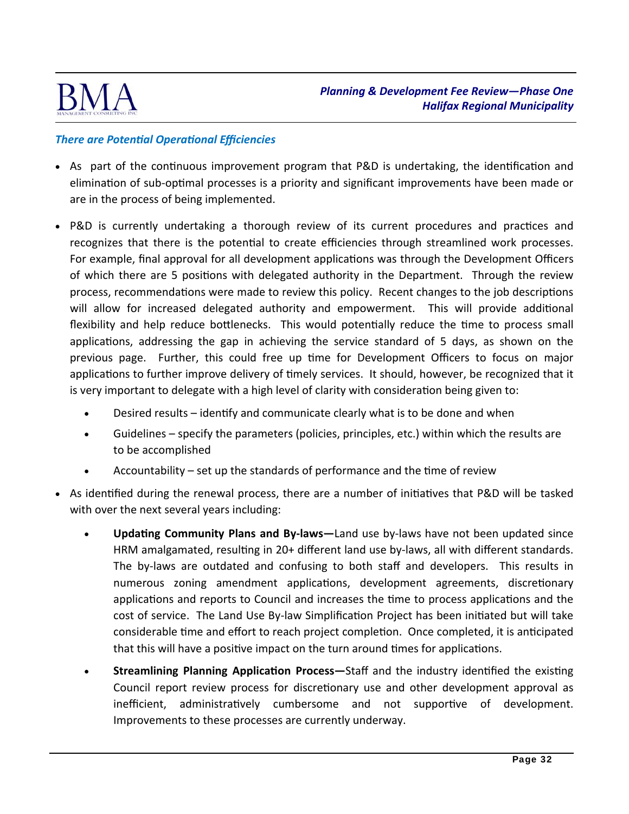

## *There are PotenƟal OperaƟonal Efficiencies*

- As part of the continuous improvement program that P&D is undertaking, the identification and elimination of sub-optimal processes is a priority and significant improvements have been made or are in the process of being implemented.
- P&D is currently undertaking a thorough review of its current procedures and practices and recognizes that there is the potential to create efficiencies through streamlined work processes. For example, final approval for all development applications was through the Development Officers of which there are 5 positions with delegated authority in the Department. Through the review process, recommendations were made to review this policy. Recent changes to the job descriptions will allow for increased delegated authority and empowerment. This will provide additional flexibility and help reduce bottlenecks. This would potentially reduce the time to process small applications, addressing the gap in achieving the service standard of 5 days, as shown on the previous page. Further, this could free up time for Development Officers to focus on major applications to further improve delivery of timely services. It should, however, be recognized that it is very important to delegate with a high level of clarity with consideration being given to:
	- Desired results identify and communicate clearly what is to be done and when
	- Guidelines specify the parameters (policies, principles, etc.) within which the results are to be accomplished
	- Accountability  $-$  set up the standards of performance and the time of review
- As identified during the renewal process, there are a number of initiatives that P&D will be tasked with over the next several years including:
	- **Updating Community Plans and By-laws—Land use by-laws have not been updated since** HRM amalgamated, resulting in 20+ different land use by-laws, all with different standards. The by-laws are outdated and confusing to both staff and developers. This results in numerous zoning amendment applications, development agreements, discretionary applications and reports to Council and increases the time to process applications and the cost of service. The Land Use By-law Simplification Project has been initiated but will take considerable time and effort to reach project completion. Once completed, it is anticipated that this will have a positive impact on the turn around times for applications.
	- **Streamlining Planning Application Process**—Staff and the industry identified the existing Council report review process for discretionary use and other development approval as inefficient, administratively cumbersome and not supportive of development. Improvements to these processes are currently underway.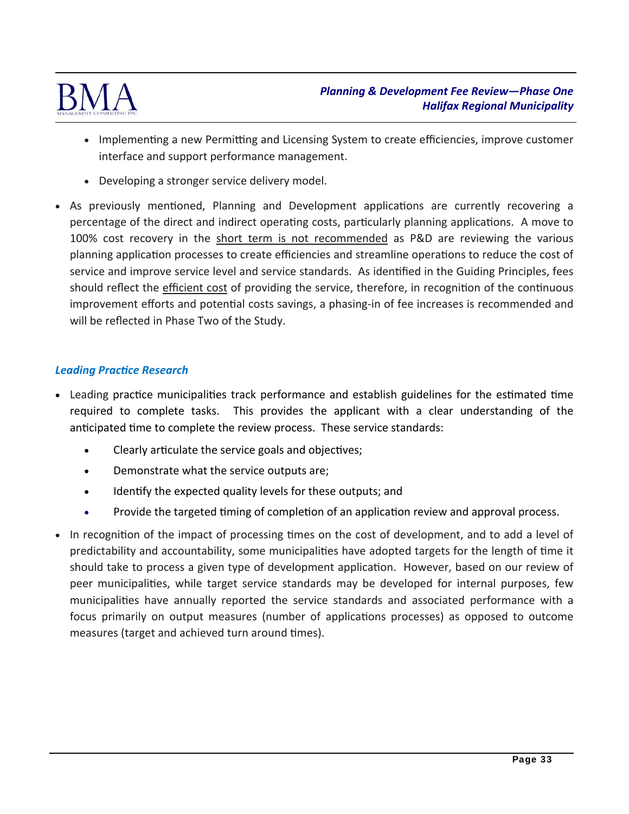

- Implementing a new Permitting and Licensing System to create efficiencies, improve customer interface and support performance management.
- Developing a stronger service delivery model.
- As previously mentioned, Planning and Development applications are currently recovering a percentage of the direct and indirect operating costs, particularly planning applications. A move to 100% cost recovery in the short term is not recommended as P&D are reviewing the various planning application processes to create efficiencies and streamline operations to reduce the cost of service and improve service level and service standards. As identified in the Guiding Principles, fees should reflect the efficient cost of providing the service, therefore, in recognition of the continuous improvement efforts and potential costs savings, a phasing-in of fee increases is recommended and will be reflected in Phase Two of the Study.

### *Leading PracƟce Research*

- Leading practice municipalities track performance and establish guidelines for the estimated time required to complete tasks. This provides the applicant with a clear understanding of the anticipated time to complete the review process. These service standards:
	- Clearly articulate the service goals and objectives;
	- Demonstrate what the service outputs are;
	- Identify the expected quality levels for these outputs; and
	- Provide the targeted timing of completion of an application review and approval process.
- In recognition of the impact of processing times on the cost of development, and to add a level of predictability and accountability, some municipalities have adopted targets for the length of time it should take to process a given type of development application. However, based on our review of peer municipalities, while target service standards may be developed for internal purposes, few municipalities have annually reported the service standards and associated performance with a focus primarily on output measures (number of applications processes) as opposed to outcome measures (target and achieved turn around times).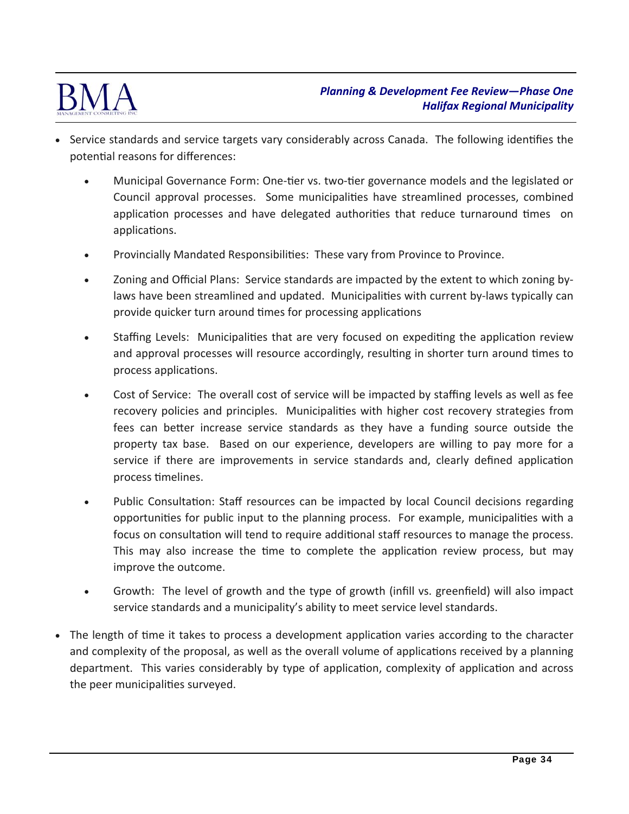

- Service standards and service targets vary considerably across Canada. The following identifies the potential reasons for differences:
	- Municipal Governance Form: One-tier vs. two-tier governance models and the legislated or Council approval processes. Some municipalities have streamlined processes, combined application processes and have delegated authorities that reduce turnaround times on applications.
	- Provincially Mandated Responsibilities: These vary from Province to Province.
	- Zoning and Official Plans: Service standards are impacted by the extent to which zoning by‐ laws have been streamlined and updated. Municipalities with current by-laws typically can provide quicker turn around times for processing applications
	- Staffing Levels: Municipalities that are very focused on expediting the application review and approval processes will resource accordingly, resulting in shorter turn around times to process applications.
	- Cost of Service: The overall cost of service will be impacted by staffing levels as well as fee recovery policies and principles. Municipalities with higher cost recovery strategies from fees can better increase service standards as they have a funding source outside the property tax base. Based on our experience, developers are willing to pay more for a service if there are improvements in service standards and, clearly defined application process Ɵmelines.
	- Public Consultation: Staff resources can be impacted by local Council decisions regarding opportunities for public input to the planning process. For example, municipalities with a focus on consultation will tend to require additional staff resources to manage the process. This may also increase the time to complete the application review process, but may improve the outcome.
	- Growth: The level of growth and the type of growth (infill vs. greenfield) will also impact service standards and a municipality's ability to meet service level standards.
- The length of time it takes to process a development application varies according to the character and complexity of the proposal, as well as the overall volume of applications received by a planning department. This varies considerably by type of application, complexity of application and across the peer municipalities surveyed.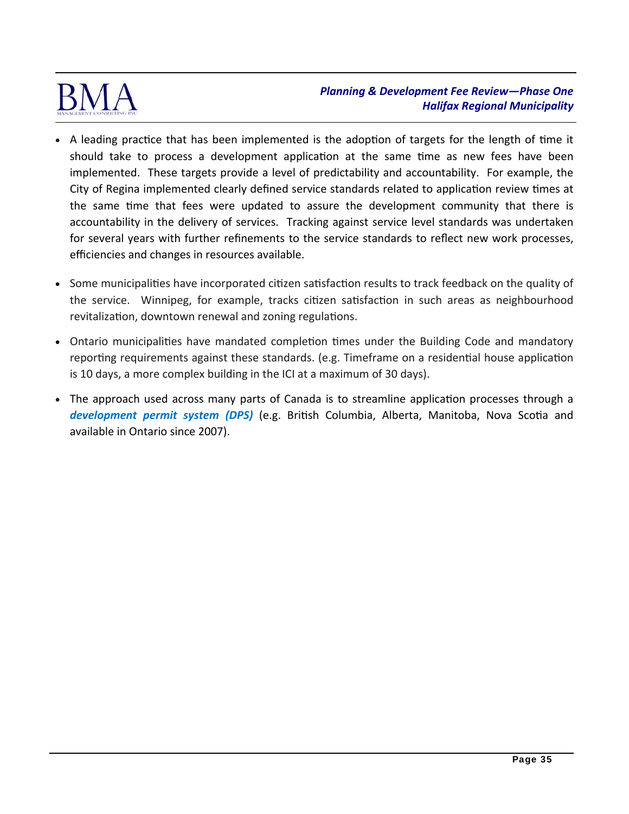

- A leading practice that has been implemented is the adoption of targets for the length of time it should take to process a development application at the same time as new fees have been implemented. These targets provide a level of predictability and accountability. For example, the City of Regina implemented clearly defined service standards related to application review times at the same time that fees were updated to assure the development community that there is accountability in the delivery of services. Tracking against service level standards was undertaken for several years with further refinements to the service standards to reflect new work processes, efficiencies and changes in resources available.
- Some municipalities have incorporated citizen satisfaction results to track feedback on the quality of the service. Winnipeg, for example, tracks citizen satisfaction in such areas as neighbourhood revitalization, downtown renewal and zoning regulations.
- Ontario municipalities have mandated completion times under the Building Code and mandatory reporting requirements against these standards. (e.g. Timeframe on a residential house application is 10 days, a more complex building in the ICI at a maximum of 30 days).
- The approach used across many parts of Canada is to streamline application processes through a *development permit system (DPS)* (e.g. British Columbia, Alberta, Manitoba, Nova Scotia and available in Ontario since 2007).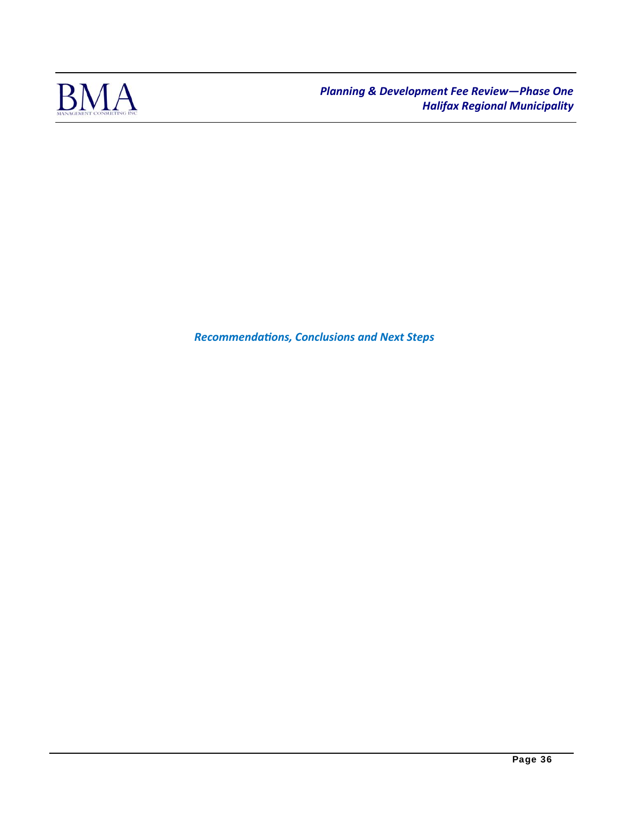

*RecommendaƟons, Conclusions and Next Steps*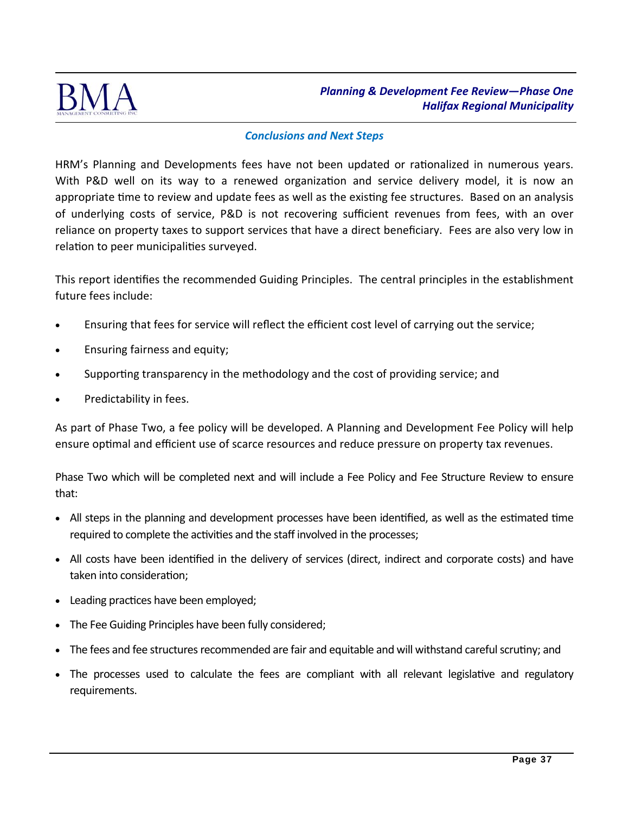

#### *Conclusions and Next Steps*

HRM's Planning and Developments fees have not been updated or rationalized in numerous years. With P&D well on its way to a renewed organization and service delivery model, it is now an appropriate time to review and update fees as well as the existing fee structures. Based on an analysis of underlying costs of service, P&D is not recovering sufficient revenues from fees, with an over reliance on property taxes to support services that have a direct beneficiary. Fees are also very low in relation to peer municipalities surveyed.

This report identifies the recommended Guiding Principles. The central principles in the establishment future fees include:

- Ensuring that fees for service will reflect the efficient cost level of carrying out the service;
- Ensuring fairness and equity;
- Supporting transparency in the methodology and the cost of providing service; and
- Predictability in fees.

As part of Phase Two, a fee policy will be developed. A Planning and Development Fee Policy will help ensure optimal and efficient use of scarce resources and reduce pressure on property tax revenues.

Phase Two which will be completed next and will include a Fee Policy and Fee Structure Review to ensure that:

- All steps in the planning and development processes have been identified, as well as the estimated time required to complete the activities and the staff involved in the processes;
- All costs have been identified in the delivery of services (direct, indirect and corporate costs) and have taken into consideration;
- Leading practices have been employed;
- The Fee Guiding Principles have been fully considered;
- The fees and fee structures recommended are fair and equitable and will withstand careful scrutiny; and
- The processes used to calculate the fees are compliant with all relevant legislative and regulatory requirements.